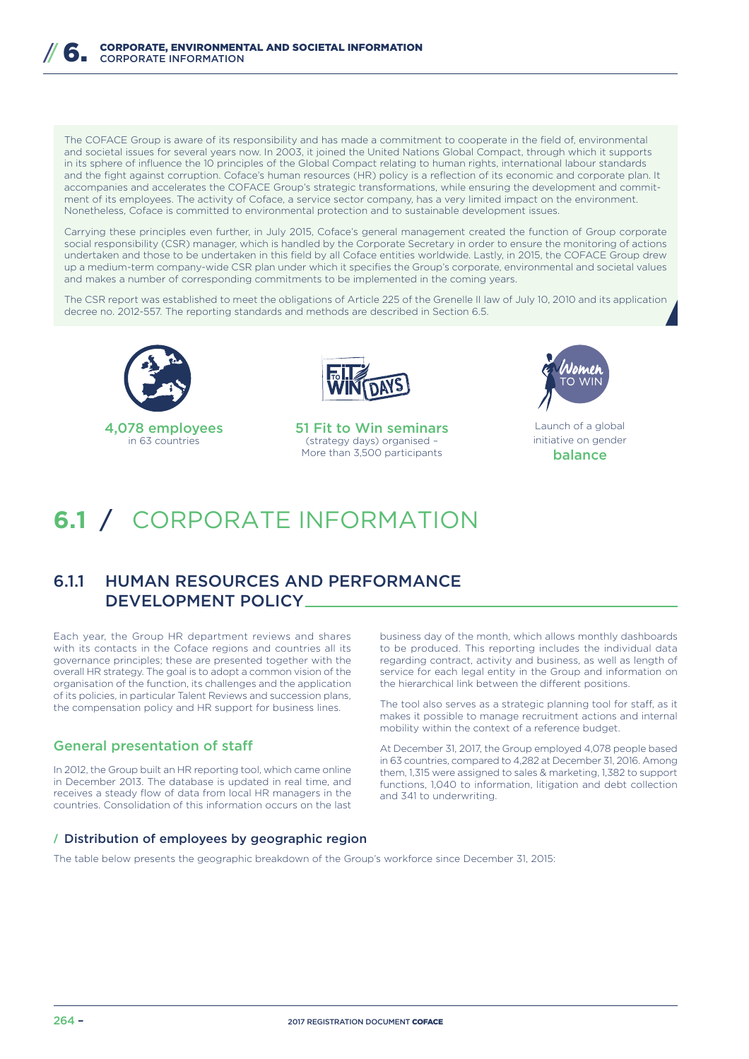The COFACE Group is aware of its responsibility and has made a commitment to cooperate in the field of, environmental and societal issues for several years now. In 2003, it joined the United Nations Global Compact, through which it supports in its sphere of influence the 10 principles of the Global Compact relating to human rights, international labour standards and the fight against corruption. Coface's human resources (HR) policy is a reflection of its economic and corporate plan. It accompanies and accelerates the COFACE Group's strategic transformations, while ensuring the development and commitment of its employees. The activity of Coface, a service sector company, has a very limited impact on the environment. Nonetheless, Coface is committed to environmental protection and to sustainable development issues.

Carrying these principles even further, in July 2015, Coface's general management created the function of Group corporate social responsibility (CSR) manager, which is handled by the Corporate Secretary in order to ensure the monitoring of actions undertaken and those to be undertaken in this field by all Coface entities worldwide. Lastly, in 2015, the COFACE Group drew up a medium-term company-wide CSR plan under which it specifies the Group's corporate, environmental and societal values and makes a number of corresponding commitments to be implemented in the coming years.

The CSR report was established to meet the obligations of Article 225 of the Grenelle II law of July 10, 2010 and its application decree no. 2012-557. The reporting standards and methods are described in Section 6.5.





51 Fit to Win seminars (strategy days) organised – More than 3,500 participants



Launch of a global initiative on gender balance

# **6.1** / CORPORATE INFORMATION

# 6.1.1 HUMAN RESOURCES AND PERFORMANCE DEVELOPMENT POLICY

Each year, the Group HR department reviews and shares with its contacts in the Coface regions and countries all its governance principles; these are presented together with the overall HR strategy. The goal is to adopt a common vision of the organisation of the function, its challenges and the application of its policies, in particular Talent Reviews and succession plans, the compensation policy and HR support for business lines.

# General presentation of staff

In 2012, the Group built an HR reporting tool, which came online in December 2013. The database is updated in real time, and receives a steady flow of data from local HR managers in the countries. Consolidation of this information occurs on the last

business day of the month, which allows monthly dashboards to be produced. This reporting includes the individual data regarding contract, activity and business, as well as length of service for each legal entity in the Group and information on the hierarchical link between the different positions.

The tool also serves as a strategic planning tool for staff, as it makes it possible to manage recruitment actions and internal mobility within the context of a reference budget.

At December 31, 2017, the Group employed 4,078 people based in 63 countries, compared to 4,282 at December 31, 2016. Among them, 1,315 were assigned to sales & marketing, 1,382 to support functions, 1,040 to information, litigation and debt collection and 341 to underwriting.

# **/** Distribution of employees by geographic region

The table below presents the geographic breakdown of the Group's workforce since December 31, 2015: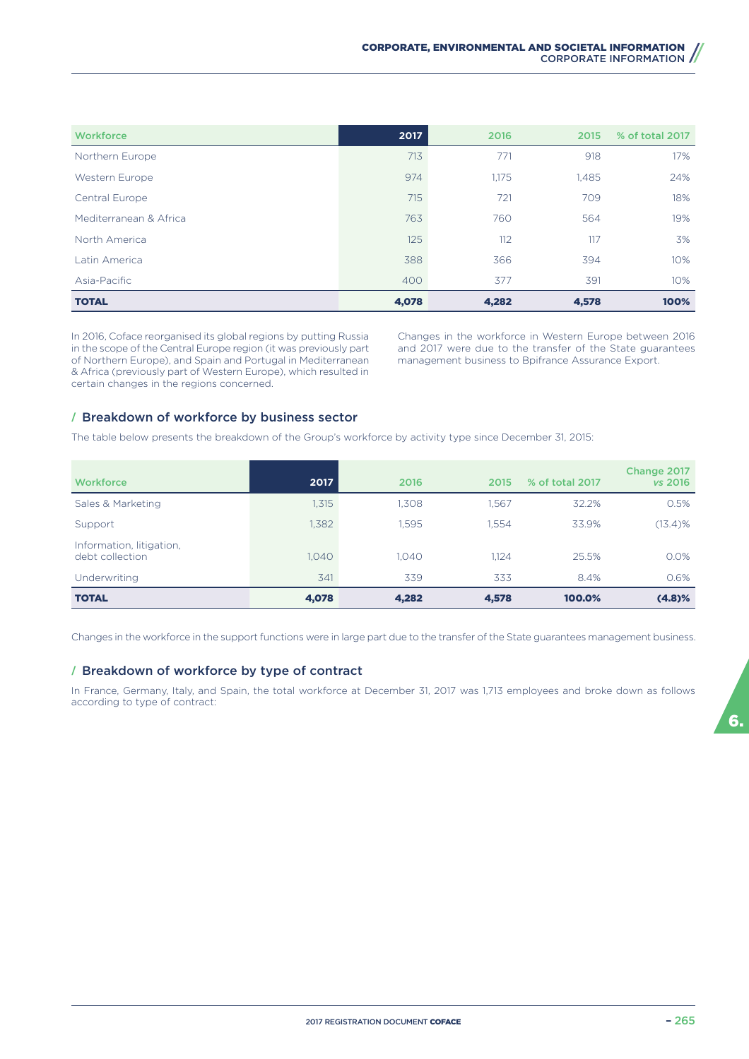| Workforce              | 2017  | 2016  | 2015  | % of total 2017 |
|------------------------|-------|-------|-------|-----------------|
| Northern Europe        | 713   | 771   | 918   | 17%             |
| Western Europe         | 974   | 1,175 | 1,485 | 24%             |
| Central Europe         | 715   | 721   | 709   | 18%             |
| Mediterranean & Africa | 763   | 760   | 564   | 19%             |
| North America          | 125   | 112   | 117   | 3%              |
| Latin America          | 388   | 366   | 394   | 10%             |
| Asia-Pacific           | 400   | 377   | 391   | 10%             |
| <b>TOTAL</b>           | 4,078 | 4,282 | 4,578 | 100%            |

In 2016, Coface reorganised its global regions by putting Russia in the scope of the Central Europe region (it was previously part of Northern Europe), and Spain and Portugal in Mediterranean & Africa (previously part of Western Europe), which resulted in certain changes in the regions concerned.

Changes in the workforce in Western Europe between 2016 and 2017 were due to the transfer of the State guarantees management business to Bpifrance Assurance Export.

## **/** Breakdown of workforce by business sector

The table below presents the breakdown of the Group's workforce by activity type since December 31, 2015:

| <b>Workforce</b>                            | 2017  | 2016  | 2015  | % of total 2017 | Change 2017<br>vs 2016 |
|---------------------------------------------|-------|-------|-------|-----------------|------------------------|
| Sales & Marketing                           | 1,315 | 1.308 | 1.567 | 32.2%           | 0.5%                   |
| Support                                     | 1,382 | 1.595 | 1.554 | 33.9%           | $(13.4)$ %             |
| Information, litigation,<br>debt collection | 1.040 | 1.040 | 1.124 | 25.5%           | 0.0%                   |
| Underwriting                                | 341   | 339   | 333   | 8.4%            | 0.6%                   |
| <b>TOTAL</b>                                | 4,078 | 4,282 | 4,578 | 100.0%          | (4.8)%                 |

Changes in the workforce in the support functions were in large part due to the transfer of the State guarantees management business.

#### **/** Breakdown of workforce by type of contract

In France, Germany, Italy, and Spain, the total workforce at December 31, 2017 was 1,713 employees and broke down as follows according to type of contract: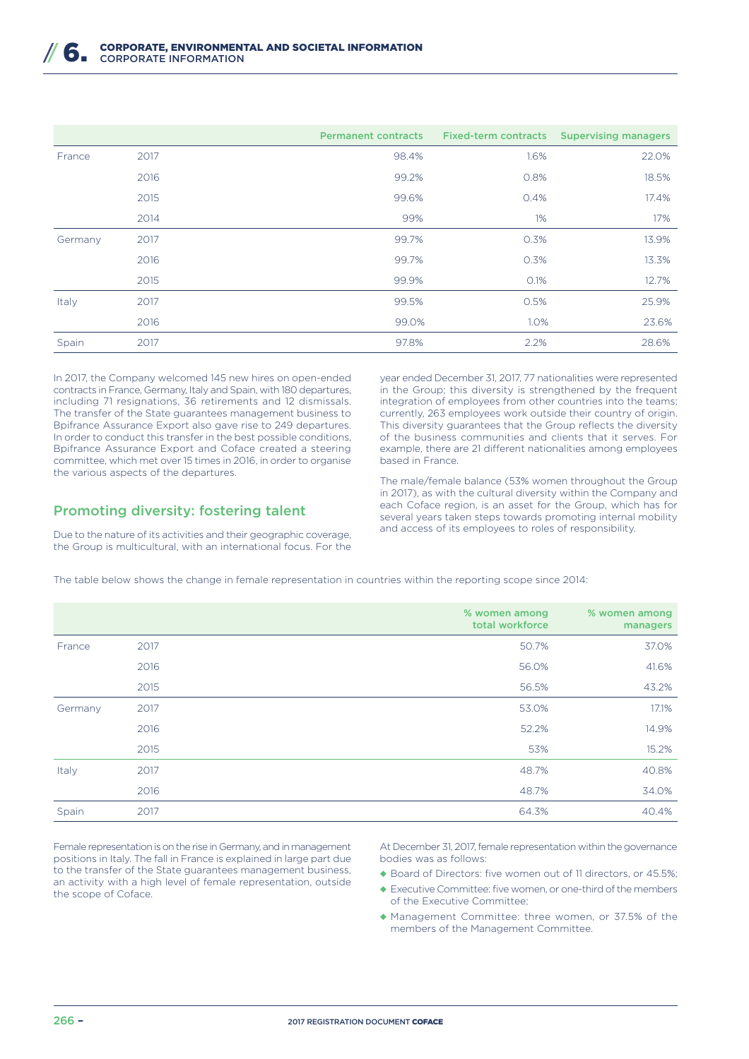|         |      | <b>Permanent contracts</b> | <b>Fixed-term contracts</b> | <b>Supervising managers</b> |
|---------|------|----------------------------|-----------------------------|-----------------------------|
| France  | 2017 | 98.4%                      | 1.6%                        | 22.0%                       |
|         | 2016 | 99.2%                      | 0.8%                        | 18.5%                       |
|         | 2015 | 99.6%                      | 0.4%                        | 17.4%                       |
|         | 2014 | 99%                        | 1%                          | 17%                         |
| Germany | 2017 | 99.7%                      | 0.3%                        | 13.9%                       |
|         | 2016 | 99.7%                      | 0.3%                        | 13.3%                       |
|         | 2015 | 99.9%                      | 0.1%                        | 12.7%                       |
| Italy   | 2017 | 99.5%                      | 0.5%                        | 25.9%                       |
|         | 2016 | 99.0%                      | 1.0%                        | 23.6%                       |
| Spain   | 2017 | 97.8%                      | 2.2%                        | 28.6%                       |

In 2017, the Company welcomed 145 new hires on open-ended contracts in France, Germany, Italy and Spain, with 180 departures, including 71 resignations, 36 retirements and 12 dismissals. The transfer of the State guarantees management business to Bpifrance Assurance Export also gave rise to 249 departures. In order to conduct this transfer in the best possible conditions, Bpifrance Assurance Export and Coface created a steering committee, which met over 15 times in 2016, in order to organise the various aspects of the departures.

# Promoting diversity: fostering talent

Due to the nature of its activities and their geographic coverage, the Group is multicultural, with an international focus. For the year ended December 31, 2017, 77 nationalities were represented in the Group; this diversity is strengthened by the frequent integration of employees from other countries into the teams; currently, 263 employees work outside their country of origin. This diversity guarantees that the Group reflects the diversity of the business communities and clients that it serves. For example, there are 21 different nationalities among employees based in France.

The male/female balance (53% women throughout the Group in 2017), as with the cultural diversity within the Company and each Coface region, is an asset for the Group, which has for several years taken steps towards promoting internal mobility and access of its employees to roles of responsibility.

The table below shows the change in female representation in countries within the reporting scope since 2014:

|         |      | % women among<br>total workforce | % women among<br>managers |
|---------|------|----------------------------------|---------------------------|
| France  | 2017 | 50.7%                            | 37.0%                     |
|         | 2016 | 56.0%                            | 41.6%                     |
|         | 2015 | 56.5%                            | 43.2%                     |
| Germany | 2017 | 53.0%                            | 17.1%                     |
|         | 2016 | 52.2%                            | 14.9%                     |
|         | 2015 | 53%                              | 15.2%                     |
| Italy   | 2017 | 48.7%                            | 40.8%                     |
|         | 2016 | 48.7%                            | 34.0%                     |
| Spain   | 2017 | 64.3%                            | 40.4%                     |

Female representation is on the rise in Germany, and in management positions in Italy. The fall in France is explained in large part due to the transfer of the State guarantees management business, an activity with a high level of female representation, outside the scope of Coface.

At December 31, 2017, female representation within the governance bodies was as follows:

- ◆ Board of Directors: five women out of 11 directors, or 45.5%;
- ◆ Executive Committee: five women, or one-third of the members of the Executive Committee;
- ◆ Management Committee: three women, or 37.5% of the members of the Management Committee.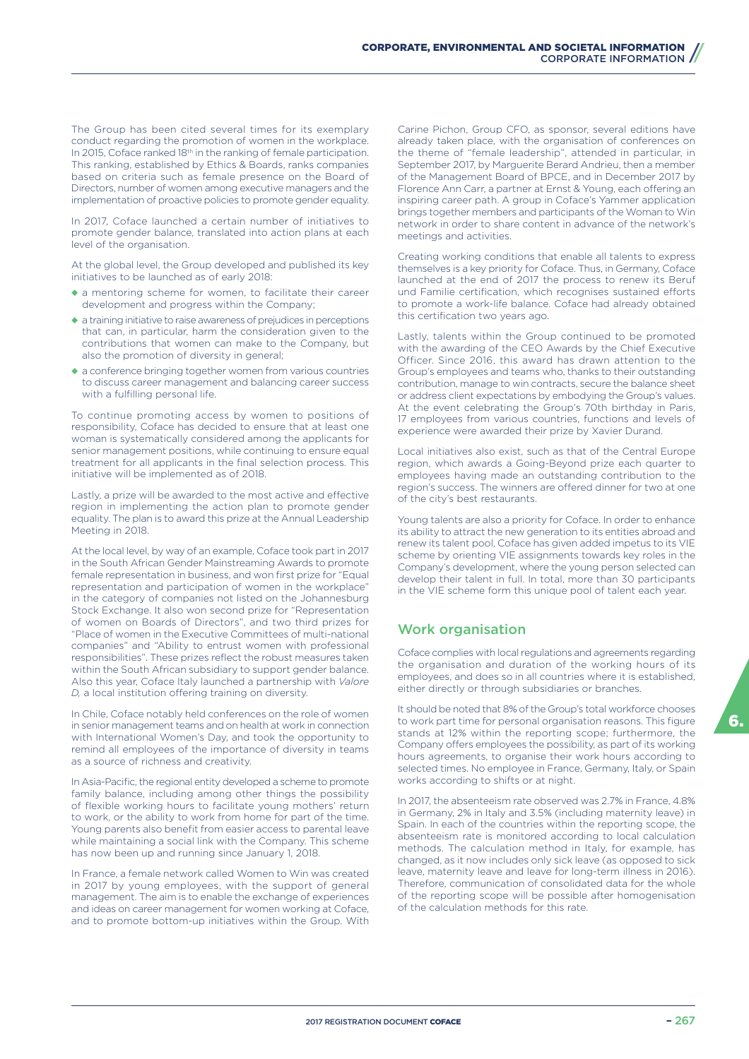The Group has been cited several times for its exemplary conduct regarding the promotion of women in the workplace. In 2015, Coface ranked 18<sup>th</sup> in the ranking of female participation. This ranking, established by Ethics & Boards, ranks companies based on criteria such as female presence on the Board of Directors, number of women among executive managers and the implementation of proactive policies to promote gender equality.

In 2017, Coface launched a certain number of initiatives to promote gender balance, translated into action plans at each level of the organisation.

At the global level, the Group developed and published its key initiatives to be launched as of early 2018:

- ◆ a mentoring scheme for women, to facilitate their career development and progress within the Company;
- ◆ a training initiative to raise awareness of prejudices in perceptions that can, in particular, harm the consideration given to the contributions that women can make to the Company, but also the promotion of diversity in general;
- ◆ a conference bringing together women from various countries to discuss career management and balancing career success with a fulfilling personal life.

To continue promoting access by women to positions of responsibility, Coface has decided to ensure that at least one woman is systematically considered among the applicants for senior management positions, while continuing to ensure equal treatment for all applicants in the final selection process. This initiative will be implemented as of 2018.

Lastly, a prize will be awarded to the most active and effective region in implementing the action plan to promote gender equality. The plan is to award this prize at the Annual Leadership Meeting in 2018.

At the local level, by way of an example, Coface took part in 2017 in the South African Gender Mainstreaming Awards to promote female representation in business, and won first prize for "Equal representation and participation of women in the workplace" in the category of companies not listed on the Johannesburg Stock Exchange. It also won second prize for "Representation of women on Boards of Directors", and two third prizes for "Place of women in the Executive Committees of multi-national companies" and "Ability to entrust women with professional responsibilities". These prizes reflect the robust measures taken within the South African subsidiary to support gender balance. Also this year, Coface Italy launched a partnership with *Valore D*, a local institution offering training on diversity.

In Chile, Coface notably held conferences on the role of women in senior management teams and on health at work in connection with International Women's Day, and took the opportunity to remind all employees of the importance of diversity in teams as a source of richness and creativity.

In Asia-Pacific, the regional entity developed a scheme to promote family balance, including among other things the possibility of flexible working hours to facilitate young mothers' return to work, or the ability to work from home for part of the time. Young parents also benefit from easier access to parental leave while maintaining a social link with the Company. This scheme has now been up and running since January 1, 2018.

In France, a female network called Women to Win was created in 2017 by young employees, with the support of general management. The aim is to enable the exchange of experiences and ideas on career management for women working at Coface, and to promote bottom-up initiatives within the Group. With Carine Pichon, Group CFO, as sponsor, several editions have already taken place, with the organisation of conferences on the theme of "female leadership", attended in particular, in September 2017, by Marguerite Berard Andrieu, then a member of the Management Board of BPCE, and in December 2017 by Florence Ann Carr, a partner at Ernst & Young, each offering an inspiring career path. A group in Coface's Yammer application brings together members and participants of the Woman to Win network in order to share content in advance of the network's meetings and activities.

Creating working conditions that enable all talents to express themselves is a key priority for Coface. Thus, in Germany, Coface launched at the end of 2017 the process to renew its Beruf und Familie certification, which recognises sustained efforts to promote a work-life balance. Coface had already obtained this certification two years ago.

Lastly, talents within the Group continued to be promoted with the awarding of the CEO Awards by the Chief Executive Officer. Since 2016, this award has drawn attention to the Group's employees and teams who, thanks to their outstanding contribution, manage to win contracts, secure the balance sheet or address client expectations by embodying the Group's values. At the event celebrating the Group's 70th birthday in Paris, 17 employees from various countries, functions and levels of experience were awarded their prize by Xavier Durand.

Local initiatives also exist, such as that of the Central Europe region, which awards a Going-Beyond prize each quarter to employees having made an outstanding contribution to the region's success. The winners are offered dinner for two at one of the city's best restaurants.

Young talents are also a priority for Coface. In order to enhance its ability to attract the new generation to its entities abroad and renew its talent pool, Coface has given added impetus to its VIE scheme by orienting VIE assignments towards key roles in the Company's development, where the young person selected can develop their talent in full. In total, more than 30 participants in the VIE scheme form this unique pool of talent each year.

# Work organisation

Coface complies with local regulations and agreements regarding the organisation and duration of the working hours of its employees, and does so in all countries where it is established, either directly or through subsidiaries or branches.

It should be noted that 8% of the Group's total workforce chooses to work part time for personal organisation reasons. This figure stands at 12% within the reporting scope; furthermore, the Company offers employees the possibility, as part of its working hours agreements, to organise their work hours according to selected times. No employee in France, Germany, Italy, or Spain works according to shifts or at night.

In 2017, the absenteeism rate observed was 2.7% in France, 4.8% in Germany, 2% in Italy and 3.5% (including maternity leave) in Spain. In each of the countries within the reporting scope, the absenteeism rate is monitored according to local calculation methods. The calculation method in Italy, for example, has changed, as it now includes only sick leave (as opposed to sick leave, maternity leave and leave for long-term illness in 2016). Therefore, communication of consolidated data for the whole of the reporting scope will be possible after homogenisation of the calculation methods for this rate.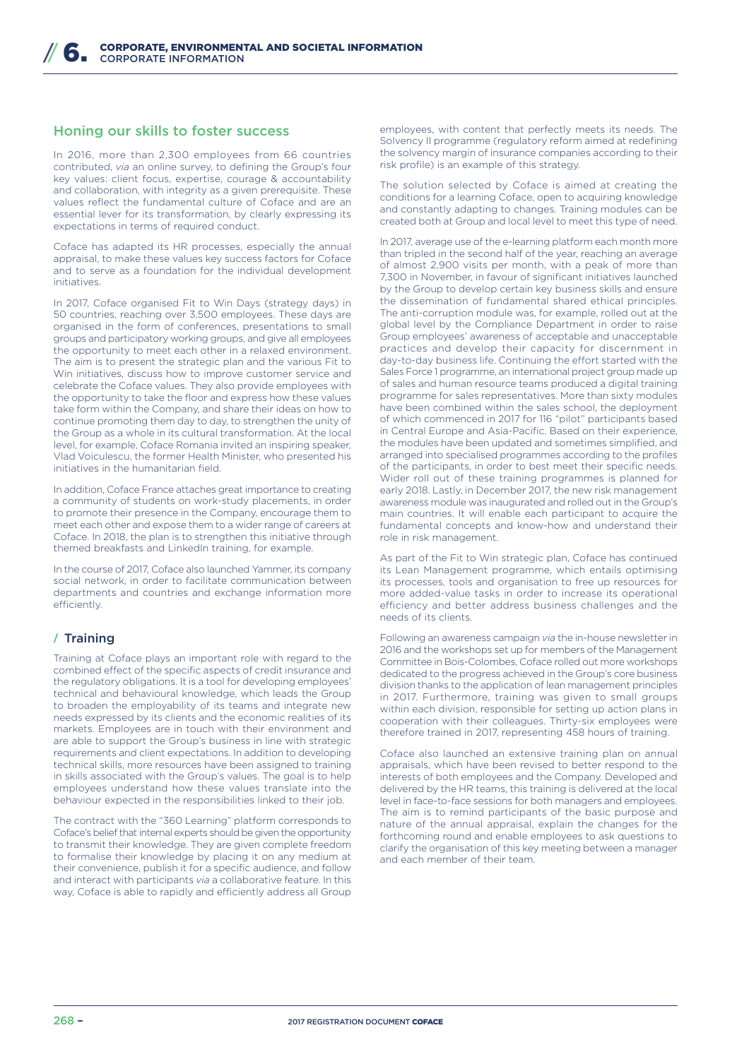# Honing our skills to foster success

In 2016, more than 2,300 employees from 66 countries contributed, *via* an online survey, to defining the Group's four key values: client focus, expertise, courage & accountability and collaboration, with integrity as a given prerequisite. These values reflect the fundamental culture of Coface and are an essential lever for its transformation, by clearly expressing its expectations in terms of required conduct.

Coface has adapted its HR processes, especially the annual appraisal, to make these values key success factors for Coface and to serve as a foundation for the individual development initiatives.

In 2017, Coface organised Fit to Win Days (strategy days) in 50 countries, reaching over 3,500 employees. These days are organised in the form of conferences, presentations to small groups and participatory working groups, and give all employees the opportunity to meet each other in a relaxed environment. The aim is to present the strategic plan and the various Fit to Win initiatives, discuss how to improve customer service and celebrate the Coface values. They also provide employees with the opportunity to take the floor and express how these values take form within the Company, and share their ideas on how to continue promoting them day to day, to strengthen the unity of the Group as a whole in its cultural transformation. At the local level, for example, Coface Romania invited an inspiring speaker, Vlad Voiculescu, the former Health Minister, who presented his initiatives in the humanitarian field.

In addition, Coface France attaches great importance to creating a community of students on work-study placements, in order to promote their presence in the Company, encourage them to meet each other and expose them to a wider range of careers at Coface. In 2018, the plan is to strengthen this initiative through themed breakfasts and LinkedIn training, for example.

In the course of 2017, Coface also launched Yammer, its company social network, in order to facilitate communication between departments and countries and exchange information more efficiently

# **/** Training

Training at Coface plays an important role with regard to the combined effect of the specific aspects of credit insurance and the regulatory obligations. It is a tool for developing employees' technical and behavioural knowledge, which leads the Group to broaden the employability of its teams and integrate new needs expressed by its clients and the economic realities of its markets. Employees are in touch with their environment and are able to support the Group's business in line with strategic requirements and client expectations. In addition to developing technical skills, more resources have been assigned to training in skills associated with the Group's values. The goal is to help employees understand how these values translate into the behaviour expected in the responsibilities linked to their job.

The contract with the "360 Learning" platform corresponds to Coface's belief that internal experts should be given the opportunity to transmit their knowledge. They are given complete freedom to formalise their knowledge by placing it on any medium at their convenience, publish it for a specific audience, and follow and interact with participants *via* a collaborative feature. In this way, Coface is able to rapidly and efficiently address all Group

employees, with content that perfectly meets its needs. The Solvency II programme (regulatory reform aimed at redefining the solvency margin of insurance companies according to their risk profile) is an example of this strategy.

The solution selected by Coface is aimed at creating the conditions for a learning Coface, open to acquiring knowledge and constantly adapting to changes. Training modules can be created both at Group and local level to meet this type of need.

In 2017, average use of the e-learning platform each month more than tripled in the second half of the year, reaching an average of almost 2,900 visits per month, with a peak of more than 7,300 in November, in favour of significant initiatives launched by the Group to develop certain key business skills and ensure the dissemination of fundamental shared ethical principles. The anti-corruption module was, for example, rolled out at the global level by the Compliance Department in order to raise Group employees' awareness of acceptable and unacceptable practices and develop their capacity for discernment in day-to-day business life. Continuing the effort started with the Sales Force 1 programme, an international project group made up of sales and human resource teams produced a digital training programme for sales representatives. More than sixty modules have been combined within the sales school, the deployment of which commenced in 2017 for 116 "pilot" participants based in Central Europe and Asia-Pacific. Based on their experience, the modules have been updated and sometimes simplified, and arranged into specialised programmes according to the profiles of the participants, in order to best meet their specific needs. Wider roll out of these training programmes is planned for early 2018. Lastly, in December 2017, the new risk management awareness module was inaugurated and rolled out in the Group's main countries. It will enable each participant to acquire the fundamental concepts and know-how and understand their role in risk management.

As part of the Fit to Win strategic plan, Coface has continued its Lean Management programme, which entails optimising its processes, tools and organisation to free up resources for more added-value tasks in order to increase its operational efficiency and better address business challenges and the needs of its clients.

Following an awareness campaign *via* the in-house newsletter in 2016 and the workshops set up for members of the Management Committee in Bois-Colombes, Coface rolled out more workshops dedicated to the progress achieved in the Group's core business division thanks to the application of lean management principles in 2017. Furthermore, training was given to small groups within each division, responsible for setting up action plans in cooperation with their colleagues. Thirty-six employees were therefore trained in 2017, representing 458 hours of training.

Coface also launched an extensive training plan on annual appraisals, which have been revised to better respond to the interests of both employees and the Company. Developed and delivered by the HR teams, this training is delivered at the local level in face-to-face sessions for both managers and employees. The aim is to remind participants of the basic purpose and nature of the annual appraisal, explain the changes for the forthcoming round and enable employees to ask questions to clarify the organisation of this key meeting between a manager and each member of their team.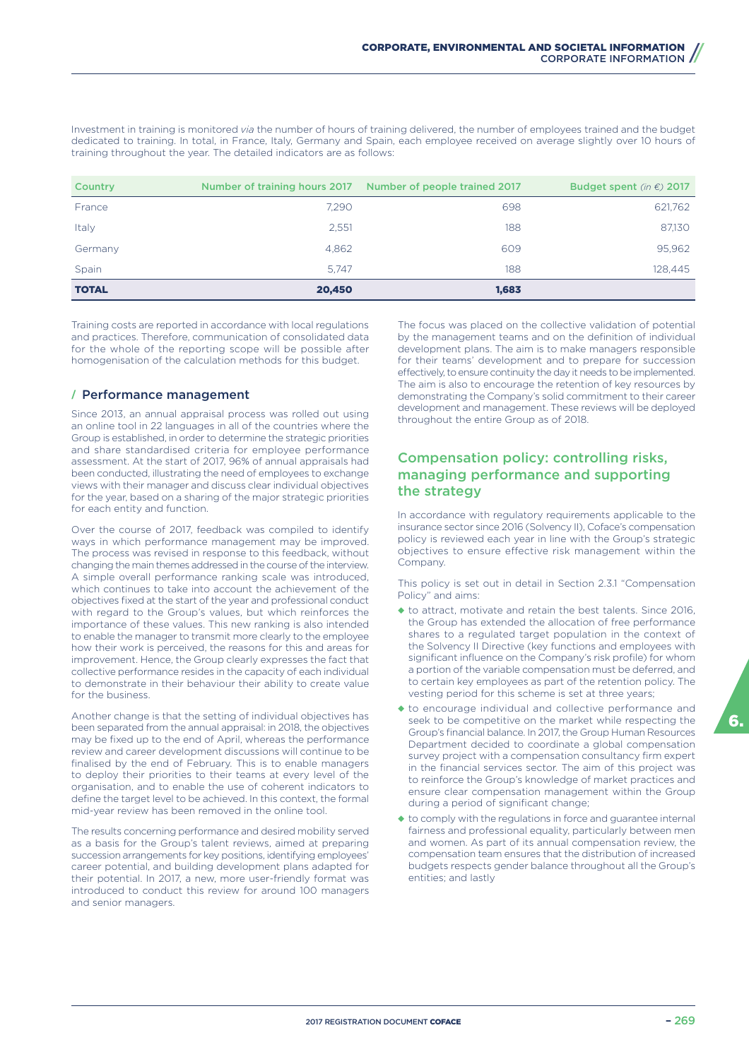Investment in training is monitored *via* the number of hours of training delivered, the number of employees trained and the budget dedicated to training. In total, in France, Italy, Germany and Spain, each employee received on average slightly over 10 hours of training throughout the year. The detailed indicators are as follows:

| Country      | Number of training hours 2017 | <b>Number of people trained 2017</b> | Budget spent (in $\epsilon$ ) 2017 |
|--------------|-------------------------------|--------------------------------------|------------------------------------|
| France       | 7.290                         | 698                                  | 621,762                            |
| Italy        | 2,551                         | 188                                  | 87,130                             |
| Germany      | 4,862                         | 609                                  | 95,962                             |
| Spain        | 5.747                         | 188                                  | 128,445                            |
| <b>TOTAL</b> | 20,450                        | 1,683                                |                                    |

Training costs are reported in accordance with local regulations and practices. Therefore, communication of consolidated data for the whole of the reporting scope will be possible after homogenisation of the calculation methods for this budget.

## **/** Performance management

Since 2013, an annual appraisal process was rolled out using an online tool in 22 languages in all of the countries where the Group is established, in order to determine the strategic priorities and share standardised criteria for employee performance assessment. At the start of 2017, 96% of annual appraisals had been conducted, illustrating the need of employees to exchange views with their manager and discuss clear individual objectives for the year, based on a sharing of the major strategic priorities for each entity and function.

Over the course of 2017, feedback was compiled to identify ways in which performance management may be improved. The process was revised in response to this feedback, without changing the main themes addressed in the course of the interview. A simple overall performance ranking scale was introduced, which continues to take into account the achievement of the objectives fixed at the start of the year and professional conduct with regard to the Group's values, but which reinforces the importance of these values. This new ranking is also intended to enable the manager to transmit more clearly to the employee how their work is perceived, the reasons for this and areas for improvement. Hence, the Group clearly expresses the fact that collective performance resides in the capacity of each individual to demonstrate in their behaviour their ability to create value for the business.

Another change is that the setting of individual objectives has been separated from the annual appraisal: in 2018, the objectives may be fixed up to the end of April, whereas the performance review and career development discussions will continue to be finalised by the end of February. This is to enable managers to deploy their priorities to their teams at every level of the organisation, and to enable the use of coherent indicators to define the target level to be achieved. In this context, the formal mid-year review has been removed in the online tool.

The results concerning performance and desired mobility served as a basis for the Group's talent reviews, aimed at preparing succession arrangements for key positions, identifying employees' career potential, and building development plans adapted for their potential. In 2017, a new, more user-friendly format was introduced to conduct this review for around 100 managers and senior managers.

The focus was placed on the collective validation of potential by the management teams and on the definition of individual development plans. The aim is to make managers responsible for their teams' development and to prepare for succession effectively, to ensure continuity the day it needs to be implemented. The aim is also to encourage the retention of key resources by demonstrating the Company's solid commitment to their career development and management. These reviews will be deployed throughout the entire Group as of 2018.

# Compensation policy: controlling risks, managing performance and supporting the strategy

In accordance with regulatory requirements applicable to the insurance sector since 2016 (Solvency II), Coface's compensation policy is reviewed each year in line with the Group's strategic objectives to ensure effective risk management within the Company

This policy is set out in detail in Section 2.3.1 "Compensation Policy" and aims:

- ◆ to attract, motivate and retain the best talents. Since 2016, the Group has extended the allocation of free performance shares to a regulated target population in the context of the Solvency II Directive (key functions and employees with significant influence on the Company's risk profile) for whom a portion of the variable compensation must be deferred, and to certain key employees as part of the retention policy. The vesting period for this scheme is set at three years;
- ◆ to encourage individual and collective performance and seek to be competitive on the market while respecting the Group's financial balance. In 2017, the Group Human Resources Department decided to coordinate a global compensation survey project with a compensation consultancy firm expert in the financial services sector. The aim of this project was to reinforce the Group's knowledge of market practices and ensure clear compensation management within the Group during a period of significant change;
- ◆ to comply with the regulations in force and guarantee internal fairness and professional equality, particularly between men and women. As part of its annual compensation review, the compensation team ensures that the distribution of increased budgets respects gender balance throughout all the Group's entities; and lastly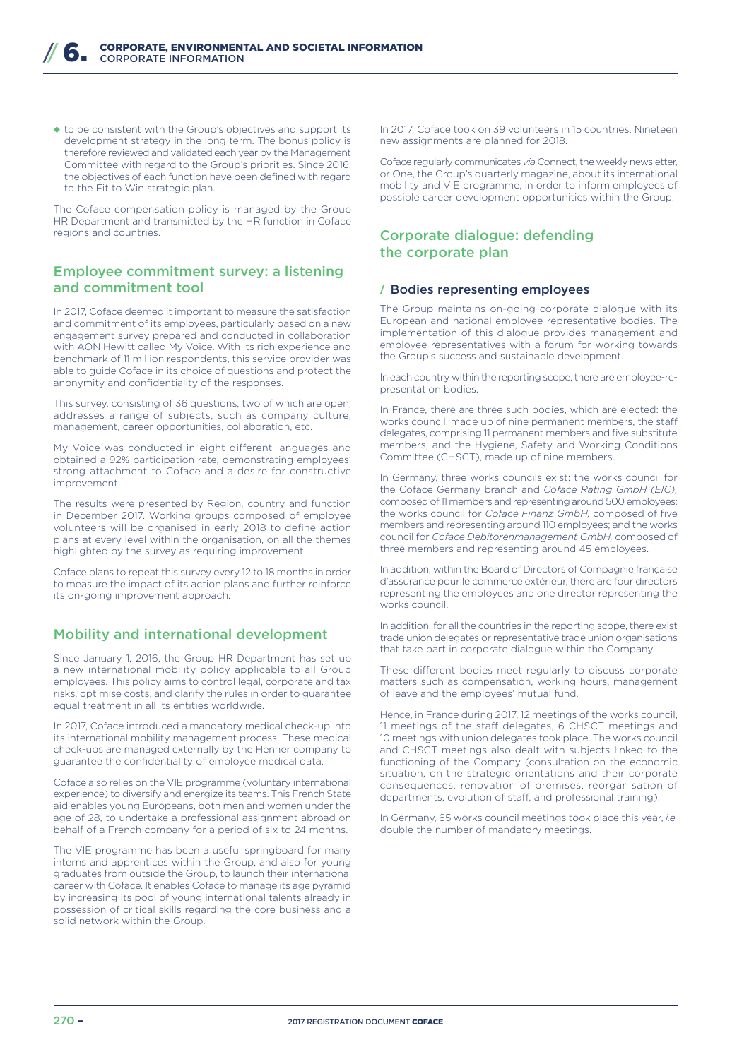◆ to be consistent with the Group's objectives and support its development strategy in the long term. The bonus policy is therefore reviewed and validated each year by the Management Committee with regard to the Group's priorities. Since 2016, the objectives of each function have been defined with regard to the Fit to Win strategic plan.

The Coface compensation policy is managed by the Group HR Department and transmitted by the HR function in Coface regions and countries.

## Employee commitment survey: a listening and commitment tool

In 2017, Coface deemed it important to measure the satisfaction and commitment of its employees, particularly based on a new engagement survey prepared and conducted in collaboration with AON Hewitt called My Voice. With its rich experience and benchmark of 11 million respondents, this service provider was able to guide Coface in its choice of questions and protect the anonymity and confidentiality of the responses.

This survey, consisting of 36 questions, two of which are open, addresses a range of subjects, such as company culture, management, career opportunities, collaboration, etc.

My Voice was conducted in eight different languages and obtained a 92% participation rate, demonstrating employees' strong attachment to Coface and a desire for constructive improvement.

The results were presented by Region, country and function in December 2017. Working groups composed of employee volunteers will be organised in early 2018 to define action plans at every level within the organisation, on all the themes highlighted by the survey as requiring improvement.

Coface plans to repeat this survey every 12 to 18 months in order to measure the impact of its action plans and further reinforce its on-going improvement approach.

# Mobility and international development

Since January 1, 2016, the Group HR Department has set up a new international mobility policy applicable to all Group employees. This policy aims to control legal, corporate and tax risks, optimise costs, and clarify the rules in order to guarantee equal treatment in all its entities worldwide.

In 2017, Coface introduced a mandatory medical check-up into its international mobility management process. These medical check-ups are managed externally by the Henner company to guarantee the confidentiality of employee medical data.

Coface also relies on the VIE programme (voluntary international experience) to diversify and energize its teams. This French State aid enables young Europeans, both men and women under the age of 28, to undertake a professional assignment abroad on behalf of a French company for a period of six to 24 months.

The VIE programme has been a useful springboard for many interns and apprentices within the Group, and also for young graduates from outside the Group, to launch their international career with Coface. It enables Coface to manage its age pyramid by increasing its pool of young international talents already in possession of critical skills regarding the core business and a solid network within the Group.

In 2017, Coface took on 39 volunteers in 15 countries. Nineteen new assignments are planned for 2018.

Coface regularly communicates *via* Connect, the weekly newsletter, or One, the Group's quarterly magazine, about its international mobility and VIE programme, in order to inform employees of possible career development opportunities within the Group.

# Corporate dialogue: defending the corporate plan

#### **/** Bodies representing employees

The Group maintains on-going corporate dialogue with its European and national employee representative bodies. The implementation of this dialogue provides management and employee representatives with a forum for working towards the Group's success and sustainable development.

In each country within the reporting scope, there are employee-representation bodies.

In France, there are three such bodies, which are elected: the works council, made up of nine permanent members, the staff delegates, comprising 11 permanent members and five substitute members, and the Hygiene, Safety and Working Conditions Committee (CHSCT), made up of nine members.

In Germany, three works councils exist: the works council for the Coface Germany branch and *Coface Rating GmbH (EIC),*  composed of 11 members and representing around 500 employees; the works council for *Coface Finanz GmbH,* composed of five members and representing around 110 employees; and the works council for *Coface Debitorenmanagement GmbH,* composed of three members and representing around 45 employees.

In addition, within the Board of Directors of Compagnie française d'assurance pour le commerce extérieur, there are four directors representing the employees and one director representing the works council.

In addition, for all the countries in the reporting scope, there exist trade union delegates or representative trade union organisations that take part in corporate dialogue within the Company.

These different bodies meet regularly to discuss corporate matters such as compensation, working hours, management of leave and the employees' mutual fund.

Hence, in France during 2017, 12 meetings of the works council, 11 meetings of the staff delegates, 6 CHSCT meetings and 10 meetings with union delegates took place. The works council and CHSCT meetings also dealt with subjects linked to the functioning of the Company (consultation on the economic situation, on the strategic orientations and their corporate consequences, renovation of premises, reorganisation of departments, evolution of staff, and professional training).

In Germany, 65 works council meetings took place this year, *i.e.* double the number of mandatory meetings.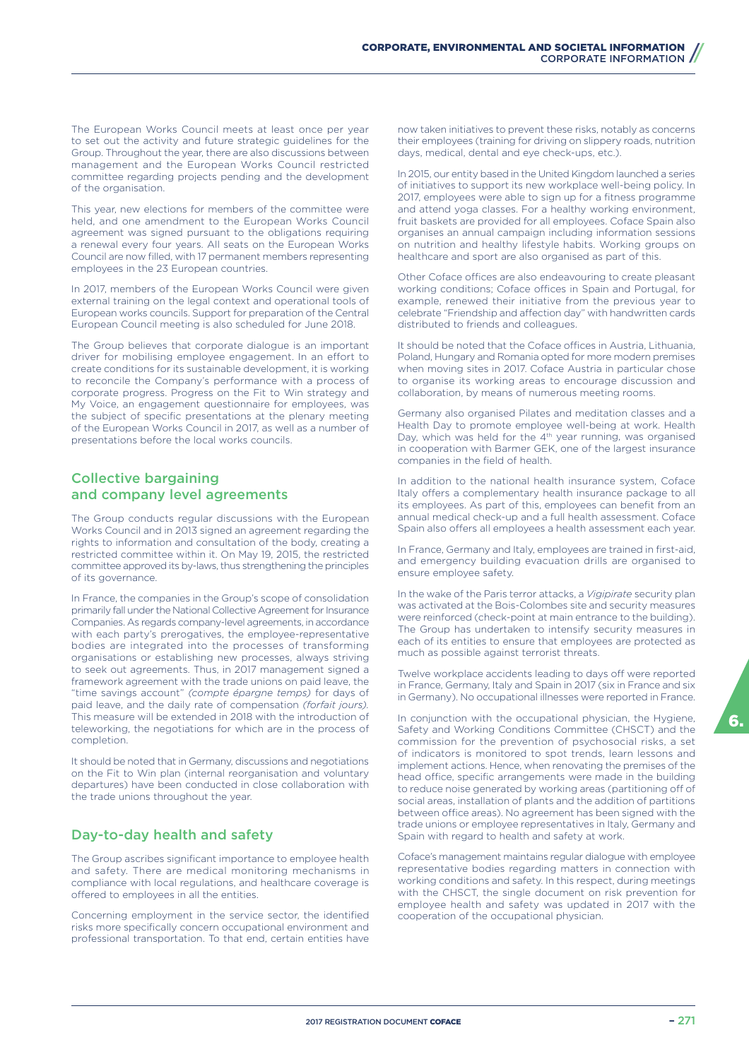The European Works Council meets at least once per year to set out the activity and future strategic guidelines for the Group. Throughout the year, there are also discussions between management and the European Works Council restricted committee regarding projects pending and the development of the organisation.

This year, new elections for members of the committee were held, and one amendment to the European Works Council agreement was signed pursuant to the obligations requiring a renewal every four years. All seats on the European Works Council are now filled, with 17 permanent members representing employees in the 23 European countries.

In 2017, members of the European Works Council were given external training on the legal context and operational tools of European works councils. Support for preparation of the Central European Council meeting is also scheduled for June 2018.

The Group believes that corporate dialogue is an important driver for mobilising employee engagement. In an effort to create conditions for its sustainable development, it is working to reconcile the Company's performance with a process of corporate progress. Progress on the Fit to Win strategy and My Voice, an engagement questionnaire for employees, was the subject of specific presentations at the plenary meeting of the European Works Council in 2017, as well as a number of presentations before the local works councils.

# Collective bargaining and company level agreements

The Group conducts regular discussions with the European Works Council and in 2013 signed an agreement regarding the rights to information and consultation of the body, creating a restricted committee within it. On May 19, 2015, the restricted committee approved its by-laws, thus strengthening the principles of its governance.

In France, the companies in the Group's scope of consolidation primarily fall under the National Collective Agreement for Insurance Companies. As regards company-level agreements, in accordance with each party's prerogatives, the employee-representative bodies are integrated into the processes of transforming organisations or establishing new processes, always striving to seek out agreements. Thus, in 2017 management signed a framework agreement with the trade unions on paid leave, the "time savings account" *(compte épargne temps)* for days of paid leave, and the daily rate of compensation *(forfait jours).*  This measure will be extended in 2018 with the introduction of teleworking, the negotiations for which are in the process of completion.

It should be noted that in Germany, discussions and negotiations on the Fit to Win plan (internal reorganisation and voluntary departures) have been conducted in close collaboration with the trade unions throughout the year.

# Day-to-day health and safety

The Group ascribes significant importance to employee health and safety. There are medical monitoring mechanisms in compliance with local regulations, and healthcare coverage is offered to employees in all the entities.

Concerning employment in the service sector, the identified risks more specifically concern occupational environment and professional transportation. To that end, certain entities have

now taken initiatives to prevent these risks, notably as concerns their employees (training for driving on slippery roads, nutrition days, medical, dental and eye check-ups, etc.).

In 2015, our entity based in the United Kingdom launched a series of initiatives to support its new workplace well-being policy. In 2017, employees were able to sign up for a fitness programme and attend yoga classes. For a healthy working environment, fruit baskets are provided for all employees. Coface Spain also organises an annual campaign including information sessions on nutrition and healthy lifestyle habits. Working groups on healthcare and sport are also organised as part of this.

Other Coface offices are also endeavouring to create pleasant working conditions; Coface offices in Spain and Portugal, for example, renewed their initiative from the previous year to celebrate "Friendship and affection day" with handwritten cards distributed to friends and colleagues.

It should be noted that the Coface offices in Austria, Lithuania, Poland, Hungary and Romania opted for more modern premises when moving sites in 2017. Coface Austria in particular chose to organise its working areas to encourage discussion and collaboration, by means of numerous meeting rooms.

Germany also organised Pilates and meditation classes and a Health Day to promote employee well-being at work. Health Day, which was held for the 4<sup>th</sup> year running, was organised in cooperation with Barmer GEK, one of the largest insurance companies in the field of health.

In addition to the national health insurance system, Coface Italy offers a complementary health insurance package to all its employees. As part of this, employees can benefit from an annual medical check-up and a full health assessment. Coface Spain also offers all employees a health assessment each year.

In France, Germany and Italy, employees are trained in first-aid, and emergency building evacuation drills are organised to ensure employee safety.

In the wake of the Paris terror attacks, a *Vigipirate* security plan was activated at the Bois-Colombes site and security measures were reinforced (check-point at main entrance to the building). The Group has undertaken to intensify security measures in each of its entities to ensure that employees are protected as much as possible against terrorist threats.

Twelve workplace accidents leading to days off were reported in France, Germany, Italy and Spain in 2017 (six in France and six in Germany). No occupational illnesses were reported in France.

In conjunction with the occupational physician, the Hygiene, Safety and Working Conditions Committee (CHSCT) and the commission for the prevention of psychosocial risks, a set of indicators is monitored to spot trends, learn lessons and implement actions. Hence, when renovating the premises of the head office, specific arrangements were made in the building to reduce noise generated by working areas (partitioning off of social areas, installation of plants and the addition of partitions between office areas). No agreement has been signed with the trade unions or employee representatives in Italy, Germany and Spain with regard to health and safety at work.

Coface's management maintains regular dialogue with employee representative bodies regarding matters in connection with working conditions and safety. In this respect, during meetings with the CHSCT, the single document on risk prevention for employee health and safety was updated in 2017 with the cooperation of the occupational physician.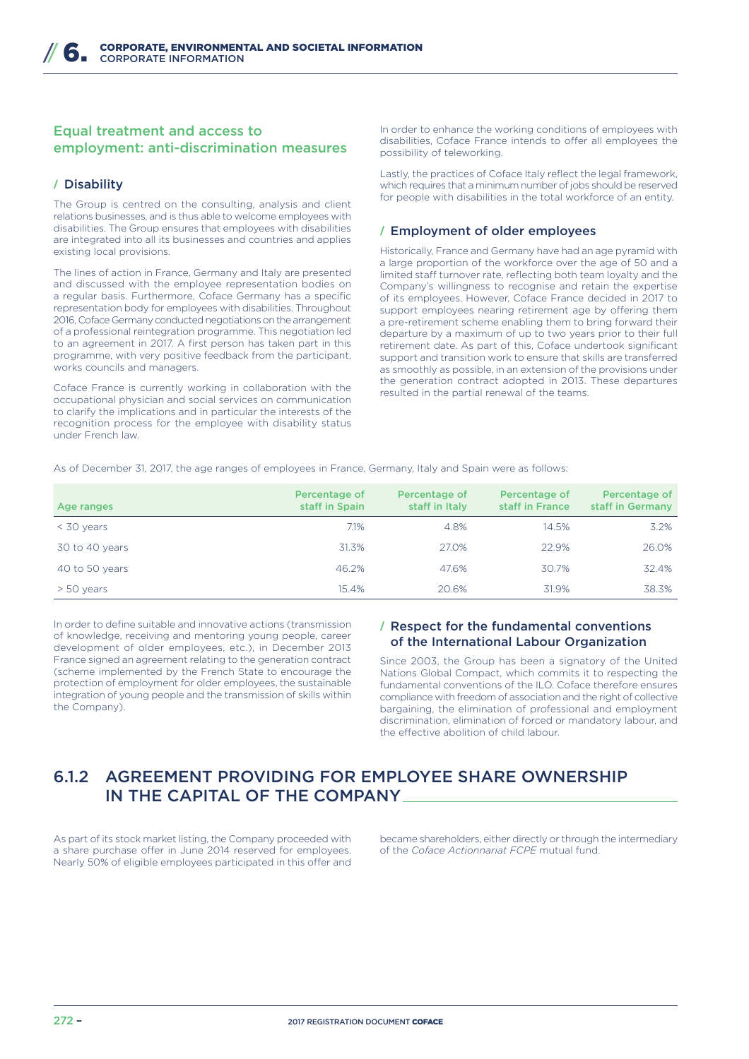# Equal treatment and access to employment: anti-discrimination measures

# **/** Disability

The Group is centred on the consulting, analysis and client relations businesses, and is thus able to welcome employees with disabilities. The Group ensures that employees with disabilities are integrated into all its businesses and countries and applies existing local provisions.

The lines of action in France, Germany and Italy are presented and discussed with the employee representation bodies on a regular basis. Furthermore, Coface Germany has a specific representation body for employees with disabilities. Throughout 2016, Coface Germany conducted negotiations on the arrangement of a professional reintegration programme. This negotiation led to an agreement in 2017. A first person has taken part in this programme, with very positive feedback from the participant, works councils and managers.

Coface France is currently working in collaboration with the occupational physician and social services on communication to clarify the implications and in particular the interests of the recognition process for the employee with disability status under French law.

In order to enhance the working conditions of employees with disabilities, Coface France intends to offer all employees the possibility of teleworking.

Lastly, the practices of Coface Italy reflect the legal framework, which requires that a minimum number of jobs should be reserved for people with disabilities in the total workforce of an entity.

#### **/** Employment of older employees

Historically, France and Germany have had an age pyramid with a large proportion of the workforce over the age of 50 and a limited staff turnover rate, reflecting both team loyalty and the Company's willingness to recognise and retain the expertise of its employees. However, Coface France decided in 2017 to support employees nearing retirement age by offering them a pre-retirement scheme enabling them to bring forward their departure by a maximum of up to two years prior to their full retirement date. As part of this, Coface undertook significant support and transition work to ensure that skills are transferred as smoothly as possible, in an extension of the provisions under the generation contract adopted in 2013. These departures resulted in the partial renewal of the teams.

As of December 31, 2017, the age ranges of employees in France, Germany, Italy and Spain were as follows:

| Age ranges     | Percentage of<br>staff in Spain | Percentage of<br>staff in Italy | Percentage of<br>staff in France | Percentage of<br>staff in Germany |
|----------------|---------------------------------|---------------------------------|----------------------------------|-----------------------------------|
| $<$ 30 years   | 7.1%                            | 4.8%                            | 14.5%                            | 3.2%                              |
| 30 to 40 years | 31.3%                           | 27.0%                           | 22.9%                            | 26.0%                             |
| 40 to 50 years | 46.2%                           | 47.6%                           | 30.7%                            | 32.4%                             |
| $> 50$ years   | 15.4%                           | 20.6%                           | 31.9%                            | 38.3%                             |

In order to define suitable and innovative actions (transmission of knowledge, receiving and mentoring young people, career development of older employees, etc.), in December 2013 France signed an agreement relating to the generation contract (scheme implemented by the French State to encourage the protection of employment for older employees, the sustainable integration of young people and the transmission of skills within the Company).

## **/** Respect for the fundamental conventions of the International Labour Organization

Since 2003, the Group has been a signatory of the United Nations Global Compact, which commits it to respecting the fundamental conventions of the ILO. Coface therefore ensures compliance with freedom of association and the right of collective bargaining, the elimination of professional and employment discrimination, elimination of forced or mandatory labour, and the effective abolition of child labour.

# 6.1.2 AGREEMENT PROVIDING FOR EMPLOYEE SHARE OWNERSHIP IN THE CAPITAL OF THE COMPANY

As part of its stock market listing, the Company proceeded with a share purchase offer in June 2014 reserved for employees. Nearly 50% of eligible employees participated in this offer and

became shareholders, either directly or through the intermediary of the *Coface Actionnariat FCPE* mutual fund.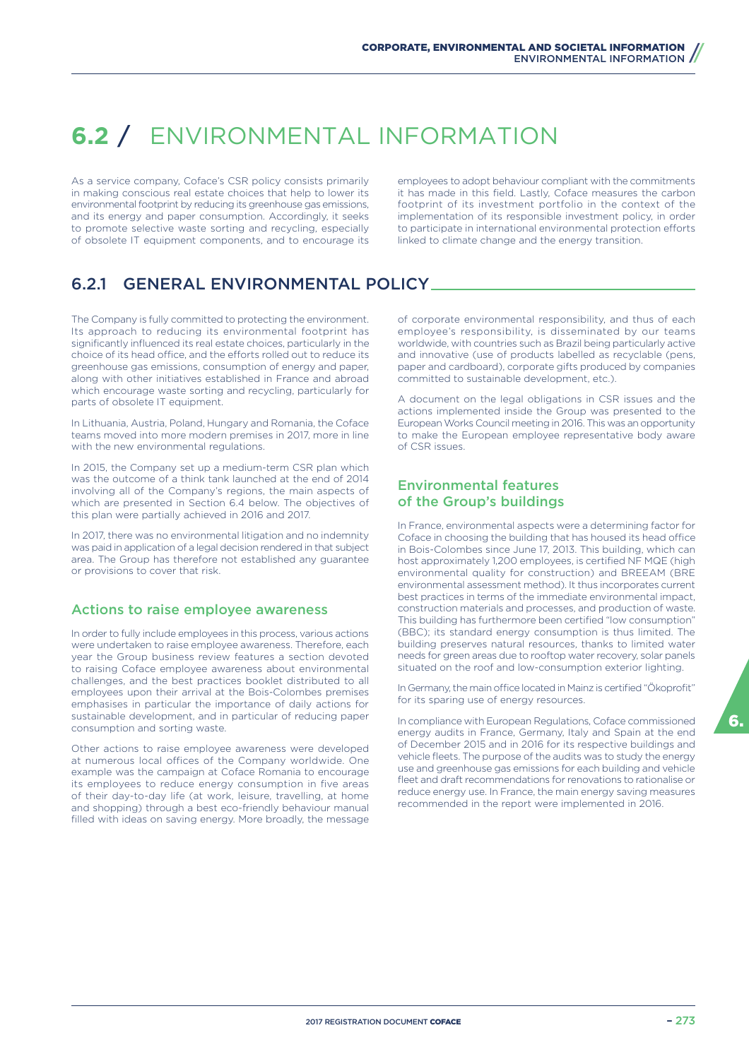# **6.2** / ENVIRONMENTAL INFORMATION

As a service company, Coface's CSR policy consists primarily in making conscious real estate choices that help to lower its environmental footprint by reducing its greenhouse gas emissions, and its energy and paper consumption. Accordingly, it seeks to promote selective waste sorting and recycling, especially of obsolete IT equipment components, and to encourage its

employees to adopt behaviour compliant with the commitments it has made in this field. Lastly, Coface measures the carbon footprint of its investment portfolio in the context of the implementation of its responsible investment policy, in order to participate in international environmental protection efforts linked to climate change and the energy transition.

# 6.2.1 GENERAL ENVIRONMENTAL POLICY

The Company is fully committed to protecting the environment. Its approach to reducing its environmental footprint has significantly influenced its real estate choices, particularly in the choice of its head office, and the efforts rolled out to reduce its greenhouse gas emissions, consumption of energy and paper, along with other initiatives established in France and abroad which encourage waste sorting and recycling, particularly for parts of obsolete IT equipment.

In Lithuania, Austria, Poland, Hungary and Romania, the Coface teams moved into more modern premises in 2017, more in line with the new environmental regulations.

In 2015, the Company set up a medium-term CSR plan which was the outcome of a think tank launched at the end of 2014 involving all of the Company's regions, the main aspects of which are presented in Section 6.4 below. The objectives of this plan were partially achieved in 2016 and 2017.

In 2017, there was no environmental litigation and no indemnity was paid in application of a legal decision rendered in that subject area. The Group has therefore not established any guarantee or provisions to cover that risk.

#### Actions to raise employee awareness

In order to fully include employees in this process, various actions were undertaken to raise employee awareness. Therefore, each year the Group business review features a section devoted to raising Coface employee awareness about environmental challenges, and the best practices booklet distributed to all employees upon their arrival at the Bois-Colombes premises emphasises in particular the importance of daily actions for sustainable development, and in particular of reducing paper consumption and sorting waste.

Other actions to raise employee awareness were developed at numerous local offices of the Company worldwide. One example was the campaign at Coface Romania to encourage its employees to reduce energy consumption in five areas of their day-to-day life (at work, leisure, travelling, at home and shopping) through a best eco-friendly behaviour manual filled with ideas on saving energy. More broadly, the message

of corporate environmental responsibility, and thus of each employee's responsibility, is disseminated by our teams worldwide, with countries such as Brazil being particularly active and innovative (use of products labelled as recyclable (pens, paper and cardboard), corporate gifts produced by companies committed to sustainable development, etc.).

A document on the legal obligations in CSR issues and the actions implemented inside the Group was presented to the European Works Council meeting in 2016. This was an opportunity to make the European employee representative body aware of CSR issues.

## Environmental features of the Group's buildings

In France, environmental aspects were a determining factor for Coface in choosing the building that has housed its head office in Bois-Colombes since June 17, 2013. This building, which can host approximately 1,200 employees, is certified NF MQE (high environmental quality for construction) and BREEAM (BRE environmental assessment method). It thus incorporates current best practices in terms of the immediate environmental impact, construction materials and processes, and production of waste. This building has furthermore been certified "low consumption" (BBC); its standard energy consumption is thus limited. The building preserves natural resources, thanks to limited water needs for green areas due to rooftop water recovery, solar panels situated on the roof and low-consumption exterior lighting.

In Germany, the main office located in Mainz is certified "Ökoprofit" for its sparing use of energy resources.

In compliance with European Regulations, Coface commissioned energy audits in France, Germany, Italy and Spain at the end of December 2015 and in 2016 for its respective buildings and vehicle fleets. The purpose of the audits was to study the energy use and greenhouse gas emissions for each building and vehicle fleet and draft recommendations for renovations to rationalise or reduce energy use. In France, the main energy saving measures recommended in the report were implemented in 2016.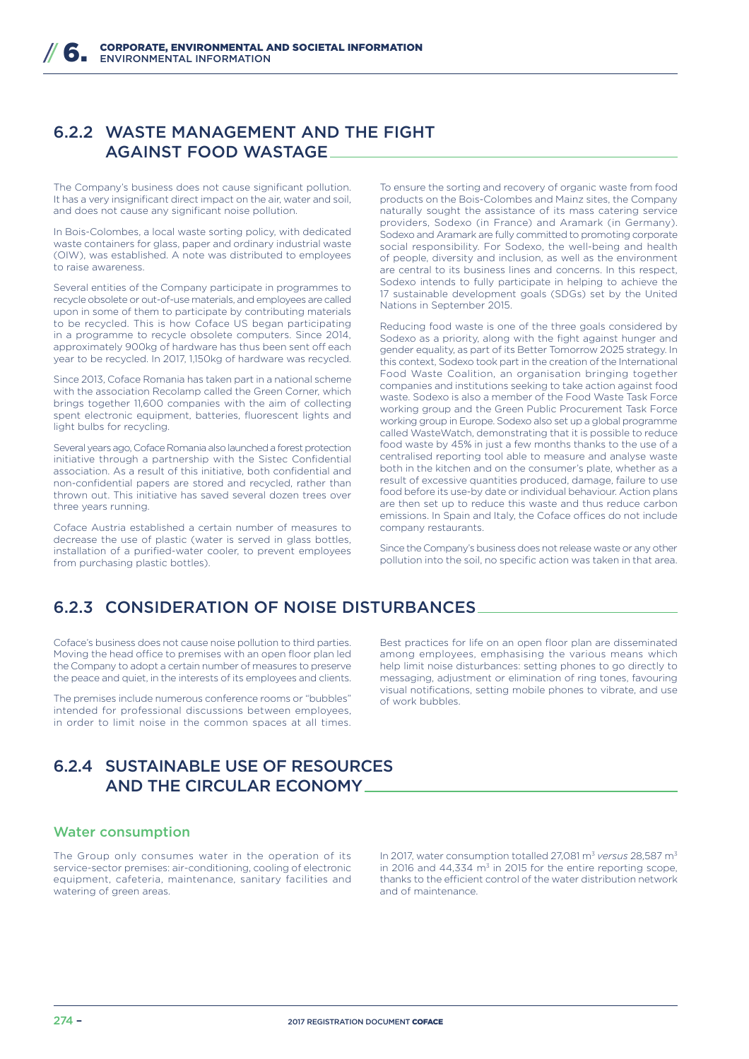# 6.2.2 WASTE MANAGEMENT AND THE FIGHT AGAINST FOOD WASTAGE

The Company's business does not cause significant pollution. It has a very insignificant direct impact on the air, water and soil, and does not cause any significant noise pollution.

In Bois-Colombes, a local waste sorting policy, with dedicated waste containers for glass, paper and ordinary industrial waste (OIW), was established. A note was distributed to employees to raise awareness.

Several entities of the Company participate in programmes to recycle obsolete or out-of-use materials, and employees are called upon in some of them to participate by contributing materials to be recycled. This is how Coface US began participating in a programme to recycle obsolete computers. Since 2014, approximately 900kg of hardware has thus been sent off each year to be recycled. In 2017, 1,150kg of hardware was recycled.

Since 2013, Coface Romania has taken part in a national scheme with the association Recolamp called the Green Corner, which brings together 11,600 companies with the aim of collecting spent electronic equipment, batteries, fluorescent lights and light bulbs for recycling.

Several years ago, Coface Romania also launched a forest protection initiative through a partnership with the Sistec Confidential association. As a result of this initiative, both confidential and non-confidential papers are stored and recycled, rather than thrown out. This initiative has saved several dozen trees over three years running.

Coface Austria established a certain number of measures to decrease the use of plastic (water is served in glass bottles, installation of a purified-water cooler, to prevent employees from purchasing plastic bottles).

To ensure the sorting and recovery of organic waste from food products on the Bois-Colombes and Mainz sites, the Company naturally sought the assistance of its mass catering service providers, Sodexo (in France) and Aramark (in Germany). Sodexo and Aramark are fully committed to promoting corporate social responsibility. For Sodexo, the well-being and health of people, diversity and inclusion, as well as the environment are central to its business lines and concerns. In this respect, Sodexo intends to fully participate in helping to achieve the 17 sustainable development goals (SDGs) set by the United Nations in September 2015.

Reducing food waste is one of the three goals considered by Sodexo as a priority, along with the fight against hunger and gender equality, as part of its Better Tomorrow 2025 strategy. In this context, Sodexo took part in the creation of the International Food Waste Coalition, an organisation bringing together companies and institutions seeking to take action against food waste. Sodexo is also a member of the Food Waste Task Force working group and the Green Public Procurement Task Force working group in Europe. Sodexo also set up a global programme called WasteWatch, demonstrating that it is possible to reduce food waste by 45% in just a few months thanks to the use of a centralised reporting tool able to measure and analyse waste both in the kitchen and on the consumer's plate, whether as a result of excessive quantities produced, damage, failure to use food before its use-by date or individual behaviour. Action plans are then set up to reduce this waste and thus reduce carbon emissions. In Spain and Italy, the Coface offices do not include company restaurants.

Since the Company's business does not release waste or any other pollution into the soil, no specific action was taken in that area.

# 6.2.3 CONSIDERATION OF NOISE DISTURBANCES

Coface's business does not cause noise pollution to third parties. Moving the head office to premises with an open floor plan led the Company to adopt a certain number of measures to preserve the peace and quiet, in the interests of its employees and clients.

The premises include numerous conference rooms or "bubbles" intended for professional discussions between employees, in order to limit noise in the common spaces at all times.

# 6.2.4 SUSTAINABLE USE OF RESOURCES AND THE CIRCULAR ECONOMY

#### Water consumption

The Group only consumes water in the operation of its service-sector premises: air-conditioning, cooling of electronic equipment, cafeteria, maintenance, sanitary facilities and watering of green areas.

Best practices for life on an open floor plan are disseminated among employees, emphasising the various means which help limit noise disturbances: setting phones to go directly to messaging, adjustment or elimination of ring tones, favouring visual notifications, setting mobile phones to vibrate, and use of work bubbles.

In 2017, water consumption totalled 27,081 m<sup>3</sup> *versus* 28,587 m<sup>3</sup> in 2016 and  $44,334$  m<sup>3</sup> in 2015 for the entire reporting scope, thanks to the efficient control of the water distribution network and of maintenance.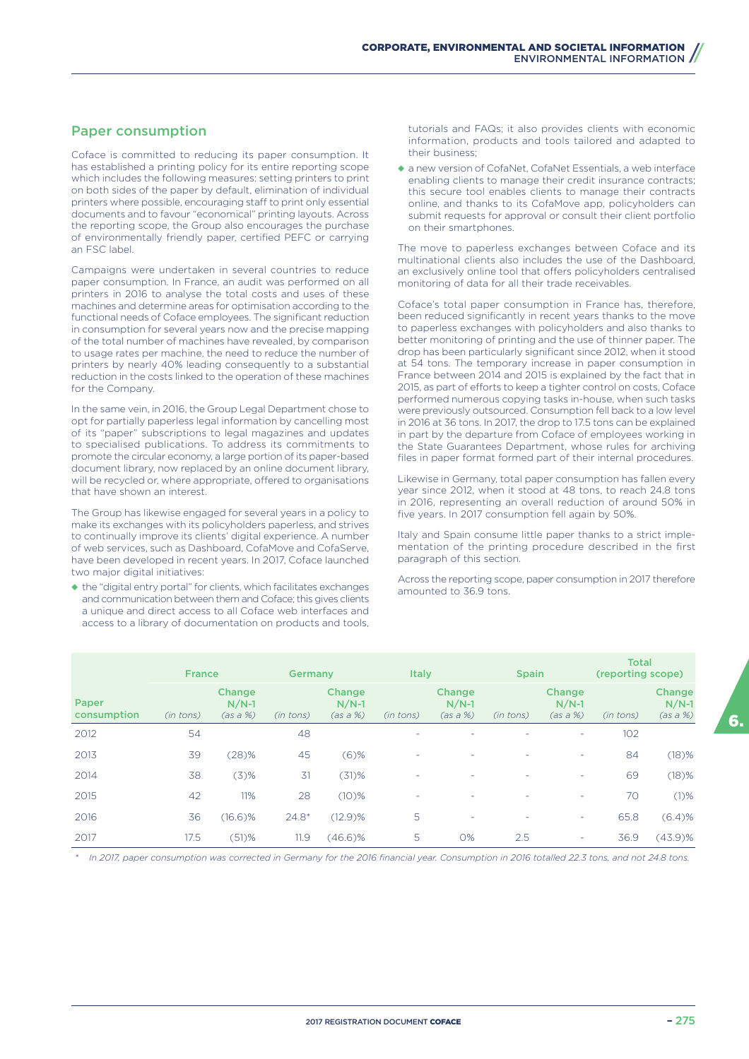# Paper consumption

Coface is committed to reducing its paper consumption. It has established a printing policy for its entire reporting scope which includes the following measures: setting printers to print on both sides of the paper by default, elimination of individual printers where possible, encouraging staff to print only essential documents and to favour "economical" printing layouts. Across the reporting scope, the Group also encourages the purchase of environmentally friendly paper, certified PEFC or carrying an FSC label.

Campaigns were undertaken in several countries to reduce paper consumption. In France, an audit was performed on all printers in 2016 to analyse the total costs and uses of these machines and determine areas for optimisation according to the functional needs of Coface employees. The significant reduction in consumption for several years now and the precise mapping of the total number of machines have revealed, by comparison to usage rates per machine, the need to reduce the number of printers by nearly 40% leading consequently to a substantial reduction in the costs linked to the operation of these machines for the Company.

In the same vein, in 2016, the Group Legal Department chose to opt for partially paperless legal information by cancelling most of its "paper" subscriptions to legal magazines and updates to specialised publications. To address its commitments to promote the circular economy, a large portion of its paper-based document library, now replaced by an online document library, will be recycled or, where appropriate, offered to organisations that have shown an interest.

The Group has likewise engaged for several years in a policy to make its exchanges with its policyholders paperless, and strives to continually improve its clients' digital experience. A number of web services, such as Dashboard, CofaMove and CofaServe, have been developed in recent years. In 2017, Coface launched two major digital initiatives:

◆ the "digital entry portal" for clients, which facilitates exchanges and communication between them and Coface; this gives clients a unique and direct access to all Coface web interfaces and access to a library of documentation on products and tools,

tutorials and FAQs; it also provides clients with economic information, products and tools tailored and adapted to their business;

◆ a new version of CofaNet, CofaNet Essentials, a web interface enabling clients to manage their credit insurance contracts; this secure tool enables clients to manage their contracts online, and thanks to its CofaMove app, policyholders can submit requests for approval or consult their client portfolio on their smartphones.

The move to paperless exchanges between Coface and its multinational clients also includes the use of the Dashboard, an exclusively online tool that offers policyholders centralised monitoring of data for all their trade receivables.

Coface's total paper consumption in France has, therefore, been reduced significantly in recent years thanks to the move to paperless exchanges with policyholders and also thanks to better monitoring of printing and the use of thinner paper. The drop has been particularly significant since 2012, when it stood at 54 tons. The temporary increase in paper consumption in France between 2014 and 2015 is explained by the fact that in 2015, as part of efforts to keep a tighter control on costs, Coface performed numerous copying tasks in-house, when such tasks were previously outsourced. Consumption fell back to a low level in 2016 at 36 tons. In 2017, the drop to 17.5 tons can be explained in part by the departure from Coface of employees working in the State Guarantees Department, whose rules for archiving files in paper format formed part of their internal procedures.

Likewise in Germany, total paper consumption has fallen every year since 2012, when it stood at 48 tons, to reach 24.8 tons in 2016, representing an overall reduction of around 50% in five years. In 2017 consumption fell again by 50%.

Italy and Spain consume little paper thanks to a strict implementation of the printing procedure described in the first paragraph of this section.

Across the reporting scope, paper consumption in 2017 therefore amounted to 36.9 tons.

|                      | <b>France</b> |                               | Germany   |                               | <b>Italy</b> |                               | <b>Spain</b> |                               | <b>Total</b><br>(reporting scope) |                               |
|----------------------|---------------|-------------------------------|-----------|-------------------------------|--------------|-------------------------------|--------------|-------------------------------|-----------------------------------|-------------------------------|
| Paper<br>consumption | (in tons)     | Change<br>$N/N-1$<br>(as a %) | (in tons) | Change<br>$N/N-1$<br>(as a %) | (in tons)    | Change<br>$N/N-1$<br>(as a %) | (in tons)    | Change<br>$N/N-1$<br>(as a %) | (in tons)                         | Change<br>$N/N-1$<br>(as a %) |
| 2012                 | 54            |                               | 48        |                               |              |                               |              | ٠                             | 102                               |                               |
| 2013                 | 39            | (28)%                         | 45        | $(6)$ %                       | -            |                               |              | ۰                             | 84                                | (18)%                         |
| 2014                 | 38            | $(3)$ %                       | 31        | $(31)$ %                      |              |                               |              | ٠                             | 69                                | (18)%                         |
| 2015                 | 42            | 11%                           | 28        | (10)%                         |              |                               |              | ۰                             | 70                                | $(1)$ %                       |
| 2016                 | 36            | (16.6)%                       | $24.8*$   | $(12.9)$ %                    | 5            | $\overline{\phantom{a}}$      | -            | ۰                             | 65.8                              | (6.4)%                        |
| 2017                 | 17.5          | $(51)$ %                      | 11.9      | (46.6)%                       | 5            | 0%                            | 2.5          | ۰                             | 36.9                              | (43.9)%                       |

*\* In 2017, paper consumption was corrected in Germany for the 2016 financial year. Consumption in 2016 totalled 22.3 tons, and not 24.8 tons.*

6.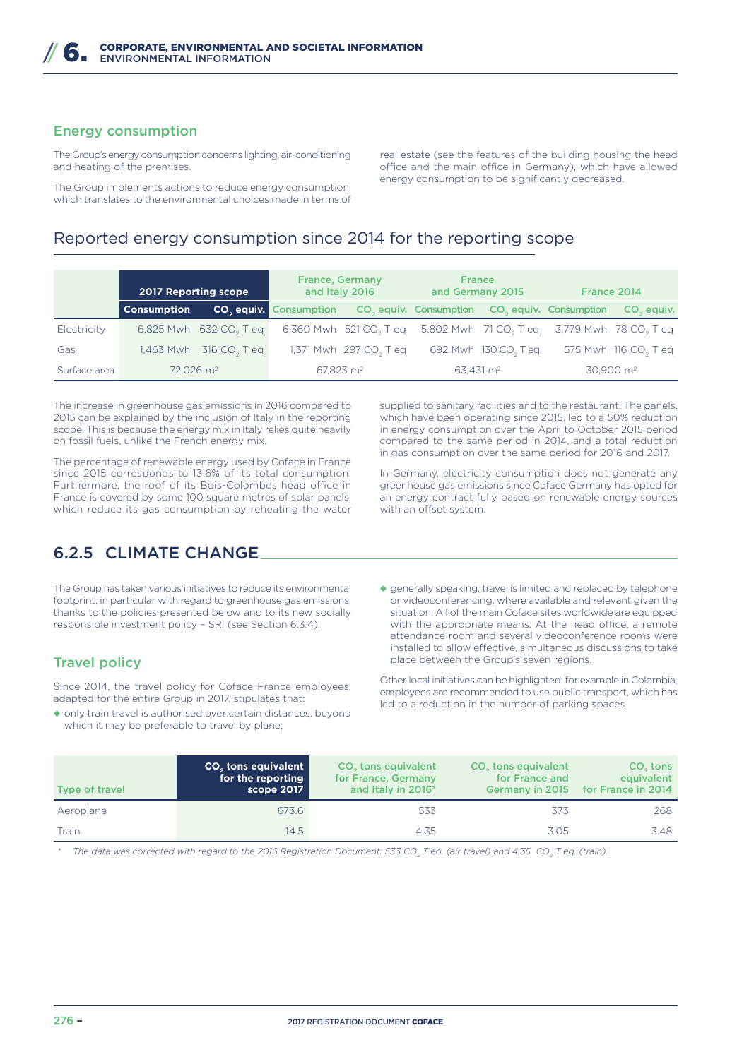# Energy consumption

The Group's energy consumption concerns lighting, air-conditioning and heating of the premises.

The Group implements actions to reduce energy consumption, which translates to the environmental choices made in terms of

real estate (see the features of the building housing the head office and the main office in Germany), which have allowed energy consumption to be significantly decreased.

# Reported energy consumption since 2014 for the reporting scope

|              | <b>2017 Reporting scope</b> |                                    | <b>France, Germany</b><br>and Italy 2016                                     |                                                                                                        | <b>France</b><br>and Germany 2015 |                                  | France 2014 |                                  |
|--------------|-----------------------------|------------------------------------|------------------------------------------------------------------------------|--------------------------------------------------------------------------------------------------------|-----------------------------------|----------------------------------|-------------|----------------------------------|
|              | <b>Consumption</b>          |                                    | <b>CO</b> , equiv. Consumption CO, equiv. Consumption CO, equiv. Consumption |                                                                                                        |                                   |                                  |             | CO <sub>2</sub> equiv.           |
| Electricity  |                             | 6,825 Mwh 632 CO, T eq             |                                                                              | 6,360 Mwh 521 CO <sub>2</sub> T eq 5,802 Mwh 71 CO <sub>2</sub> T eq 3,779 Mwh 78 CO <sub>2</sub> T eq |                                   |                                  |             |                                  |
| Gas          |                             | 1,463 Mwh 316 CO <sub>2</sub> T eq |                                                                              | 1,371 Mwh 297 CO <sub>2</sub> T eq                                                                     |                                   | 692 Mwh 130 CO <sub>2</sub> T eq |             | 575 Mwh 116 CO <sub>2</sub> T eq |
| Surface area | $72.026$ m <sup>2</sup>     |                                    | $67.823$ m <sup>2</sup>                                                      |                                                                                                        | $63.431 \text{ m}^2$              |                                  |             | $30.900$ m <sup>2</sup>          |

The increase in greenhouse gas emissions in 2016 compared to 2015 can be explained by the inclusion of Italy in the reporting scope. This is because the energy mix in Italy relies quite heavily on fossil fuels, unlike the French energy mix.

The percentage of renewable energy used by Coface in France since 2015 corresponds to 13.6% of its total consumption. Furthermore, the roof of its Bois-Colombes head office in France is covered by some 100 square metres of solar panels, which reduce its gas consumption by reheating the water

# 6.2.5 CLIMATE CHANGE

The Group has taken various initiatives to reduce its environmental footprint, in particular with regard to greenhouse gas emissions. thanks to the policies presented below and to its new socially responsible investment policy – SRI (see Section 6.3.4).

# Travel policy

Since 2014, the travel policy for Coface France employees, adapted for the entire Group in 2017, stipulates that:

◆ only train travel is authorised over certain distances, beyond which it may be preferable to travel by plane;

supplied to sanitary facilities and to the restaurant. The panels, which have been operating since 2015, led to a 50% reduction in energy consumption over the April to October 2015 period compared to the same period in 2014, and a total reduction in gas consumption over the same period for 2016 and 2017.

In Germany, electricity consumption does not generate any greenhouse gas emissions since Coface Germany has opted for an energy contract fully based on renewable energy sources with an offset system.

◆ generally speaking, travel is limited and replaced by telephone or videoconferencing, where available and relevant given the situation. All of the main Coface sites worldwide are equipped with the appropriate means. At the head office, a remote attendance room and several videoconference rooms were installed to allow effective, simultaneous discussions to take place between the Group's seven regions.

Other local initiatives can be highlighted: for example in Colombia, employees are recommended to use public transport, which has led to a reduction in the number of parking spaces.

| Type of travel | <b>CO<sub>2</sub></b> tons equivalent<br>for the reporting<br>scope 2017 | CO <sub>2</sub> tons equivalent<br>for France, Germany<br>and Italy in 2016* | CO <sub>2</sub> tons equivalent<br>for France and | CO <sub>s</sub> tons<br>equivalent<br>Germany in 2015 for France in 2014 |
|----------------|--------------------------------------------------------------------------|------------------------------------------------------------------------------|---------------------------------------------------|--------------------------------------------------------------------------|
| Aeroplane      | 673.6                                                                    | 533                                                                          | 373                                               | 268                                                                      |
| Train          | 14.5                                                                     | 4.35                                                                         | 3.05                                              | 3.48                                                                     |

*\* The data was corrected with regard to the 2016 Registration Document: 533 CO<sup>2</sup> T eq. (air travel) and 4.35 CO<sup>2</sup> T eq. (train).*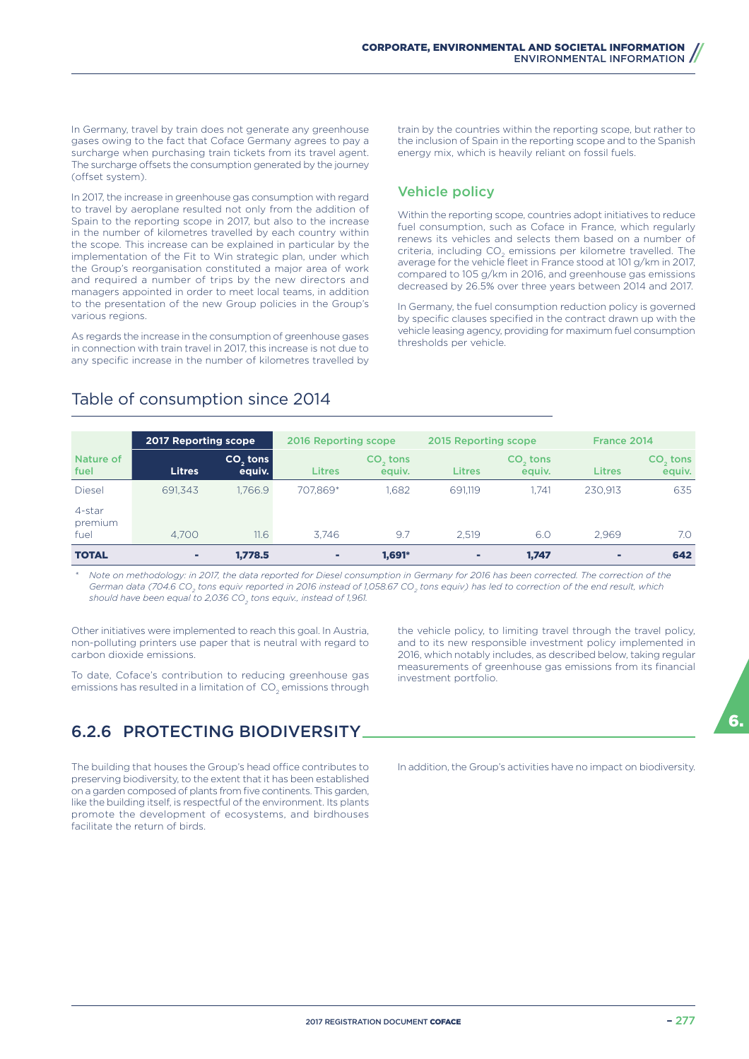In Germany, travel by train does not generate any greenhouse gases owing to the fact that Coface Germany agrees to pay a surcharge when purchasing train tickets from its travel agent. The surcharge offsets the consumption generated by the journey (offset system).

In 2017, the increase in greenhouse gas consumption with regard to travel by aeroplane resulted not only from the addition of Spain to the reporting scope in 2017, but also to the increase in the number of kilometres travelled by each country within the scope. This increase can be explained in particular by the implementation of the Fit to Win strategic plan, under which the Group's reorganisation constituted a major area of work and required a number of trips by the new directors and managers appointed in order to meet local teams, in addition to the presentation of the new Group policies in the Group's various regions.

As regards the increase in the consumption of greenhouse gases in connection with train travel in 2017, this increase is not due to any specific increase in the number of kilometres travelled by train by the countries within the reporting scope, but rather to the inclusion of Spain in the reporting scope and to the Spanish energy mix, which is heavily reliant on fossil fuels.

# Vehicle policy

Within the reporting scope, countries adopt initiatives to reduce fuel consumption, such as Coface in France, which regularly renews its vehicles and selects them based on a number of criteria, including  $\mathsf{CO}_2$  emissions per kilometre travelled. The average for the vehicle fleet in France stood at 101 g/km in 2017, compared to 105 g/km in 2016, and greenhouse gas emissions decreased by 26.5% over three years between 2014 and 2017.

In Germany, the fuel consumption reduction policy is governed by specific clauses specified in the contract drawn up with the vehicle leasing agency, providing for maximum fuel consumption thresholds per vehicle.

|                           | <b>2017 Reporting scope</b> |                                | 2016 Reporting scope |                      | 2015 Reporting scope |                      | France 2014   |                                |
|---------------------------|-----------------------------|--------------------------------|----------------------|----------------------|----------------------|----------------------|---------------|--------------------------------|
| Nature of<br>fuel         | <b>Litres</b>               | CO <sub>s</sub> tons<br>equiv. | <b>Litres</b>        | $CO2$ tons<br>equiv. | <b>Litres</b>        | $CO3$ tons<br>equiv. | <b>Litres</b> | CO <sub>s</sub> tons<br>equiv. |
| <b>Diesel</b>             | 691.343                     | 1.766.9                        | 707.869*             | 1.682                | 691.119              | 1.741                | 230.913       | 635                            |
| 4-star<br>premium<br>fuel | 4.700                       | 11.6                           | 3.746                | 9.7                  | 2.519                | 6.0                  | 2.969         | 7.0                            |
| <b>TOTAL</b>              |                             | 1,778.5                        | ٠                    | 1,691*               |                      | 1.747                | ۰             | 642                            |

# Table of consumption since 2014

*\* Note on methodology: in 2017, the data reported for Diesel consumption in Germany for 2016 has been corrected. The correction of the German data (704.6 CO<sub>2</sub> tons equiv* reported in 2016 instead of 1,058.67 CO<sub>2</sub> tons equiv) has led to correction of the end result, which *should have been equal to 2,036 CO<sup>2</sup> tons equiv., instead of 1,961.*

Other initiatives were implemented to reach this goal. In Austria, non-polluting printers use paper that is neutral with regard to carbon dioxide emissions.

To date, Coface's contribution to reducing greenhouse gas emissions has resulted in a limitation of  $\mathsf{CO}_2$  emissions through

# 6.2.6 PROTECTING BIODIVERSITY

The building that houses the Group's head office contributes to preserving biodiversity, to the extent that it has been established on a garden composed of plants from five continents. This garden, like the building itself, is respectful of the environment. Its plants promote the development of ecosystems, and birdhouses facilitate the return of birds.

the vehicle policy, to limiting travel through the travel policy, and to its new responsible investment policy implemented in 2016, which notably includes, as described below, taking regular measurements of greenhouse gas emissions from its financial investment portfolio.

In addition, the Group's activities have no impact on biodiversity.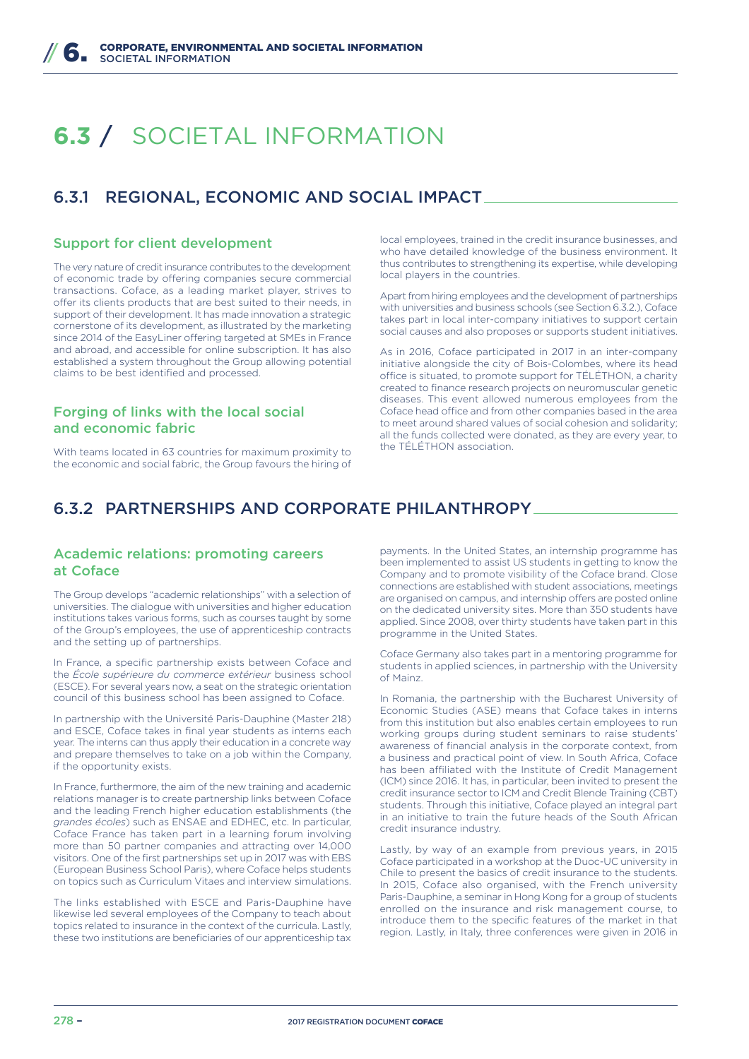# **6.3** / SOCIETAL INFORMATION

# 6.3.1 REGIONAL, ECONOMIC AND SOCIAL IMPACT

#### Support for client development

The very nature of credit insurance contributes to the development of economic trade by offering companies secure commercial transactions. Coface, as a leading market player, strives to offer its clients products that are best suited to their needs, in support of their development. It has made innovation a strategic cornerstone of its development, as illustrated by the marketing since 2014 of the EasyLiner offering targeted at SMEs in France and abroad, and accessible for online subscription. It has also established a system throughout the Group allowing potential claims to be best identified and processed.

# Forging of links with the local social and economic fabric

With teams located in 63 countries for maximum proximity to the economic and social fabric, the Group favours the hiring of local employees, trained in the credit insurance businesses, and who have detailed knowledge of the business environment. It thus contributes to strengthening its expertise, while developing local players in the countries.

Apart from hiring employees and the development of partnerships with universities and business schools (see Section 6.3.2.), Coface takes part in local inter-company initiatives to support certain social causes and also proposes or supports student initiatives.

As in 2016, Coface participated in 2017 in an inter-company initiative alongside the city of Bois-Colombes, where its head office is situated, to promote support for TÉLÉTHON, a charity created to finance research projects on neuromuscular genetic diseases. This event allowed numerous employees from the Coface head office and from other companies based in the area to meet around shared values of social cohesion and solidarity; all the funds collected were donated, as they are every year, to the TÉLÉTHON association.

# 6.3.2 PARTNERSHIPS AND CORPORATE PHILANTHROPY

## Academic relations: promoting careers at Coface

The Group develops "academic relationships" with a selection of universities. The dialogue with universities and higher education institutions takes various forms, such as courses taught by some of the Group's employees, the use of apprenticeship contracts and the setting up of partnerships.

In France, a specific partnership exists between Coface and the *École supérieure du commerce extérieur* business school (ESCE). For several years now, a seat on the strategic orientation council of this business school has been assigned to Coface.

In partnership with the Université Paris-Dauphine (Master 218) and ESCE, Coface takes in final year students as interns each year. The interns can thus apply their education in a concrete way and prepare themselves to take on a job within the Company, if the opportunity exists.

In France, furthermore, the aim of the new training and academic relations manager is to create partnership links between Coface and the leading French higher education establishments (the *grandes écoles*) such as ENSAE and EDHEC, etc. In particular, Coface France has taken part in a learning forum involving more than 50 partner companies and attracting over 14,000 visitors. One of the first partnerships set up in 2017 was with EBS (European Business School Paris), where Coface helps students on topics such as Curriculum Vitaes and interview simulations.

The links established with ESCE and Paris-Dauphine have likewise led several employees of the Company to teach about topics related to insurance in the context of the curricula. Lastly, these two institutions are beneficiaries of our apprenticeship tax

payments. In the United States, an internship programme has been implemented to assist US students in getting to know the Company and to promote visibility of the Coface brand. Close connections are established with student associations, meetings are organised on campus, and internship offers are posted online on the dedicated university sites. More than 350 students have applied. Since 2008, over thirty students have taken part in this programme in the United States.

Coface Germany also takes part in a mentoring programme for students in applied sciences, in partnership with the University of Mainz.

In Romania, the partnership with the Bucharest University of Economic Studies (ASE) means that Coface takes in interns from this institution but also enables certain employees to run working groups during student seminars to raise students' awareness of financial analysis in the corporate context, from a business and practical point of view. In South Africa, Coface has been affiliated with the Institute of Credit Management (ICM) since 2016. It has, in particular, been invited to present the credit insurance sector to ICM and Credit Blende Training (CBT) students. Through this initiative, Coface played an integral part in an initiative to train the future heads of the South African credit insurance industry.

Lastly, by way of an example from previous years, in 2015 Coface participated in a workshop at the Duoc-UC university in Chile to present the basics of credit insurance to the students. In 2015, Coface also organised, with the French university Paris-Dauphine, a seminar in Hong Kong for a group of students enrolled on the insurance and risk management course, to introduce them to the specific features of the market in that region. Lastly, in Italy, three conferences were given in 2016 in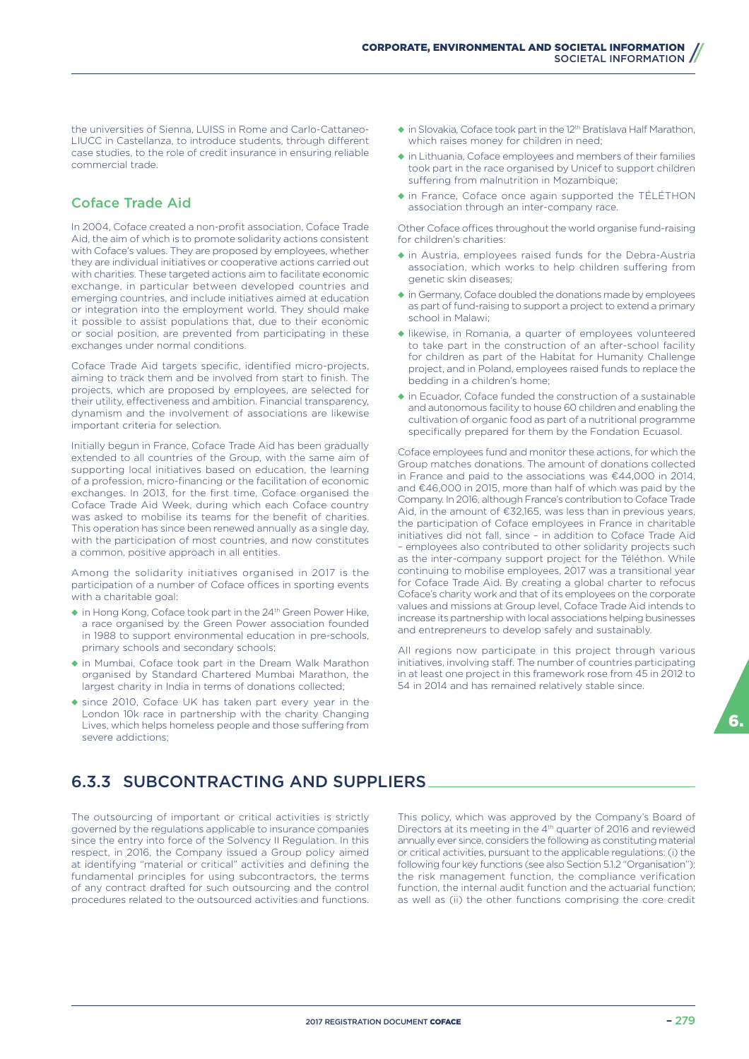the universities of Sienna, LUISS in Rome and Carlo-Cattaneo-LIUCC in Castellanza, to introduce students, through different case studies, to the role of credit insurance in ensuring reliable commercial trade.

# Coface Trade Aid

In 2004, Coface created a non-profit association, Coface Trade Aid, the aim of which is to promote solidarity actions consistent with Coface's values. They are proposed by employees, whether they are individual initiatives or cooperative actions carried out with charities. These targeted actions aim to facilitate economic exchange, in particular between developed countries and emerging countries, and include initiatives aimed at education or integration into the employment world. They should make it possible to assist populations that, due to their economic or social position, are prevented from participating in these exchanges under normal conditions.

Coface Trade Aid targets specific, identified micro-projects, aiming to track them and be involved from start to finish. The projects, which are proposed by employees, are selected for their utility, effectiveness and ambition. Financial transparency, dynamism and the involvement of associations are likewise important criteria for selection.

Initially begun in France, Coface Trade Aid has been gradually extended to all countries of the Group, with the same aim of supporting local initiatives based on education, the learning of a profession, micro-financing or the facilitation of economic exchanges. In 2013, for the first time, Coface organised the Coface Trade Aid Week, during which each Coface country was asked to mobilise its teams for the benefit of charities. This operation has since been renewed annually as a single day, with the participation of most countries, and now constitutes a common, positive approach in all entities.

Among the solidarity initiatives organised in 2017 is the participation of a number of Coface offices in sporting events with a charitable goal:

- ◆ in Hong Kong, Coface took part in the 24<sup>th</sup> Green Power Hike, a race organised by the Green Power association founded in 1988 to support environmental education in pre-schools, primary schools and secondary schools;
- ◆ in Mumbai, Coface took part in the Dream Walk Marathon organised by Standard Chartered Mumbai Marathon, the largest charity in India in terms of donations collected;
- ◆ since 2010, Coface UK has taken part every year in the London 10k race in partnership with the charity Changing Lives, which helps homeless people and those suffering from severe addictions;
- ◆ in Slovakia, Coface took part in the 12<sup>th</sup> Bratislava Half Marathon, which raises money for children in need;
- ◆ in Lithuania, Coface employees and members of their families took part in the race organised by Unicef to support children suffering from malnutrition in Mozambique;
- ◆ in France, Coface once again supported the TÉLÉTHON association through an inter-company race.

Other Coface offices throughout the world organise fund-raising for children's charities:

- ◆ in Austria, employees raised funds for the Debra-Austria association, which works to help children suffering from genetic skin diseases;
- ◆ in Germany, Coface doubled the donations made by employees as part of fund-raising to support a project to extend a primary school in Malawi;
- ◆ likewise, in Romania, a quarter of employees volunteered to take part in the construction of an after-school facility for children as part of the Habitat for Humanity Challenge project, and in Poland, employees raised funds to replace the bedding in a children's home;
- $\bullet$  in Ecuador, Coface funded the construction of a sustainable and autonomous facility to house 60 children and enabling the cultivation of organic food as part of a nutritional programme specifically prepared for them by the Fondation Ecuasol.

Coface employees fund and monitor these actions, for which the Group matches donations. The amount of donations collected in France and paid to the associations was €44,000 in 2014, and €46,000 in 2015, more than half of which was paid by the Company. In 2016, although France's contribution to Coface Trade Aid, in the amount of €32,165, was less than in previous years, the participation of Coface employees in France in charitable initiatives did not fall, since – in addition to Coface Trade Aid – employees also contributed to other solidarity projects such as the inter-company support project for the Téléthon. While continuing to mobilise employees, 2017 was a transitional year for Coface Trade Aid. By creating a global charter to refocus Coface's charity work and that of its employees on the corporate values and missions at Group level, Coface Trade Aid intends to increase its partnership with local associations helping businesses and entrepreneurs to develop safely and sustainably.

All regions now participate in this project through various initiatives, involving staff. The number of countries participating in at least one project in this framework rose from 45 in 2012 to 54 in 2014 and has remained relatively stable since.

# 6.3.3 SUBCONTRACTING AND SUPPLIERS

The outsourcing of important or critical activities is strictly governed by the regulations applicable to insurance companies since the entry into force of the Solvency II Regulation. In this respect, in 2016, the Company issued a Group policy aimed at identifying "material or critical" activities and defining the fundamental principles for using subcontractors, the terms of any contract drafted for such outsourcing and the control procedures related to the outsourced activities and functions.

This policy, which was approved by the Company's Board of Directors at its meeting in the 4th quarter of 2016 and reviewed annually ever since, considers the following as constituting material or critical activities, pursuant to the applicable regulations: (i) the following four key functions (see also Section 5.1.2 "Organisation"): the risk management function, the compliance verification function, the internal audit function and the actuarial function; as well as (ii) the other functions comprising the core credit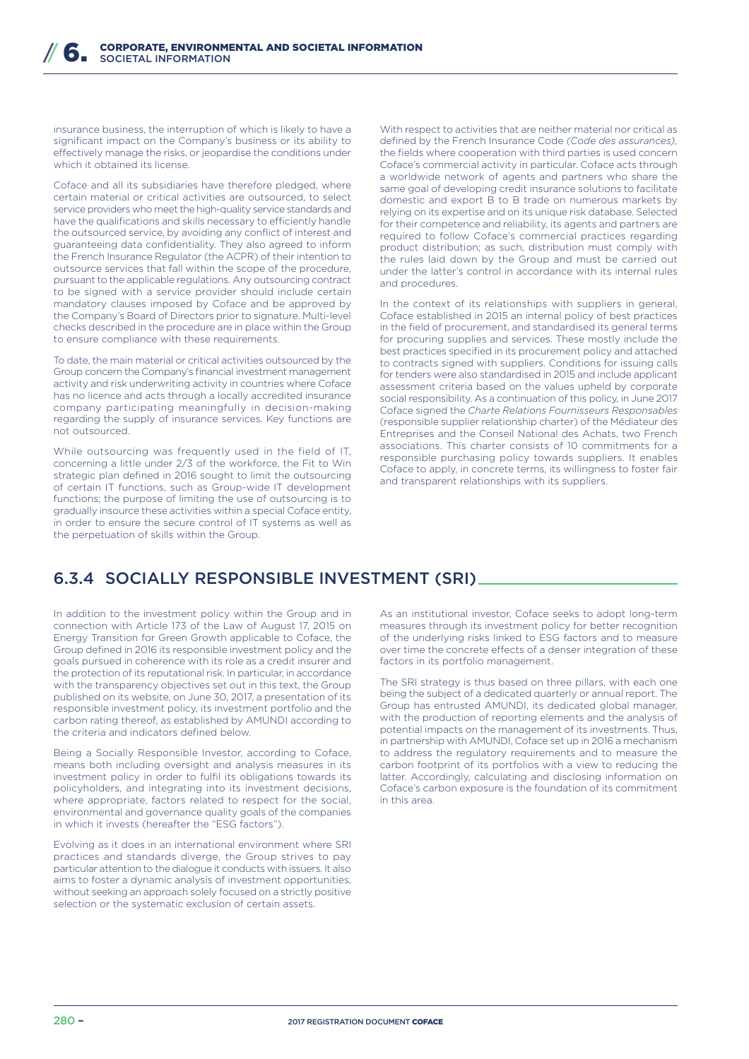insurance business, the interruption of which is likely to have a significant impact on the Company's business or its ability to effectively manage the risks, or jeopardise the conditions under which it obtained its license.

Coface and all its subsidiaries have therefore pledged, where certain material or critical activities are outsourced, to select service providers who meet the high-quality service standards and have the qualifications and skills necessary to efficiently handle the outsourced service, by avoiding any conflict of interest and guaranteeing data confidentiality. They also agreed to inform the French Insurance Regulator (the ACPR) of their intention to outsource services that fall within the scope of the procedure, pursuant to the applicable regulations. Any outsourcing contract to be signed with a service provider should include certain mandatory clauses imposed by Coface and be approved by the Company's Board of Directors prior to signature. Multi-level checks described in the procedure are in place within the Group to ensure compliance with these requirements.

To date, the main material or critical activities outsourced by the Group concern the Company's financial investment management activity and risk underwriting activity in countries where Coface has no licence and acts through a locally accredited insurance company participating meaningfully in decision-making regarding the supply of insurance services. Key functions are not outsourced.

While outsourcing was frequently used in the field of IT, concerning a little under 2/3 of the workforce, the Fit to Win strategic plan defined in 2016 sought to limit the outsourcing of certain IT functions, such as Group-wide IT development functions; the purpose of limiting the use of outsourcing is to gradually insource these activities within a special Coface entity, in order to ensure the secure control of IT systems as well as the perpetuation of skills within the Group.

With respect to activities that are neither material nor critical as defined by the French Insurance Code *(Code des assurances),* the fields where cooperation with third parties is used concern Coface's commercial activity in particular. Coface acts through a worldwide network of agents and partners who share the same goal of developing credit insurance solutions to facilitate domestic and export B to B trade on numerous markets by relying on its expertise and on its unique risk database. Selected for their competence and reliability, its agents and partners are required to follow Coface's commercial practices regarding product distribution; as such, distribution must comply with the rules laid down by the Group and must be carried out under the latter's control in accordance with its internal rules and procedures.

In the context of its relationships with suppliers in general, Coface established in 2015 an internal policy of best practices in the field of procurement, and standardised its general terms for procuring supplies and services. These mostly include the best practices specified in its procurement policy and attached to contracts signed with suppliers. Conditions for issuing calls for tenders were also standardised in 2015 and include applicant assessment criteria based on the values upheld by corporate social responsibility. As a continuation of this policy, in June 2017 Coface signed the *Charte Relations Fournisseurs Responsables* (responsible supplier relationship charter) of the Médiateur des Entreprises and the Conseil National des Achats, two French associations. This charter consists of 10 commitments for a responsible purchasing policy towards suppliers. It enables Coface to apply, in concrete terms, its willingness to foster fair and transparent relationships with its suppliers.

# 6.3.4 SOCIALLY RESPONSIBLE INVESTMENT (SRI)

In addition to the investment policy within the Group and in connection with Article 173 of the Law of August 17, 2015 on Energy Transition for Green Growth applicable to Coface, the Group defined in 2016 its responsible investment policy and the goals pursued in coherence with its role as a credit insurer and the protection of its reputational risk. In particular, in accordance with the transparency objectives set out in this text, the Group published on its website, on June 30, 2017, a presentation of its responsible investment policy, its investment portfolio and the carbon rating thereof, as established by AMUNDI according to the criteria and indicators defined below.

Being a Socially Responsible Investor, according to Coface, means both including oversight and analysis measures in its investment policy in order to fulfil its obligations towards its policyholders, and integrating into its investment decisions, where appropriate, factors related to respect for the social, environmental and governance quality goals of the companies in which it invests (hereafter the "ESG factors").

Evolving as it does in an international environment where SRI practices and standards diverge, the Group strives to pay particular attention to the dialogue it conducts with issuers. It also aims to foster a dynamic analysis of investment opportunities, without seeking an approach solely focused on a strictly positive selection or the systematic exclusion of certain assets.

As an institutional investor, Coface seeks to adopt long-term measures through its investment policy for better recognition of the underlying risks linked to ESG factors and to measure over time the concrete effects of a denser integration of these factors in its portfolio management.

The SRI strategy is thus based on three pillars, with each one being the subject of a dedicated quarterly or annual report. The Group has entrusted AMUNDI, its dedicated global manager, with the production of reporting elements and the analysis of potential impacts on the management of its investments. Thus, in partnership with AMUNDI, Coface set up in 2016 a mechanism to address the regulatory requirements and to measure the carbon footprint of its portfolios with a view to reducing the latter. Accordingly, calculating and disclosing information on Coface's carbon exposure is the foundation of its commitment in this area.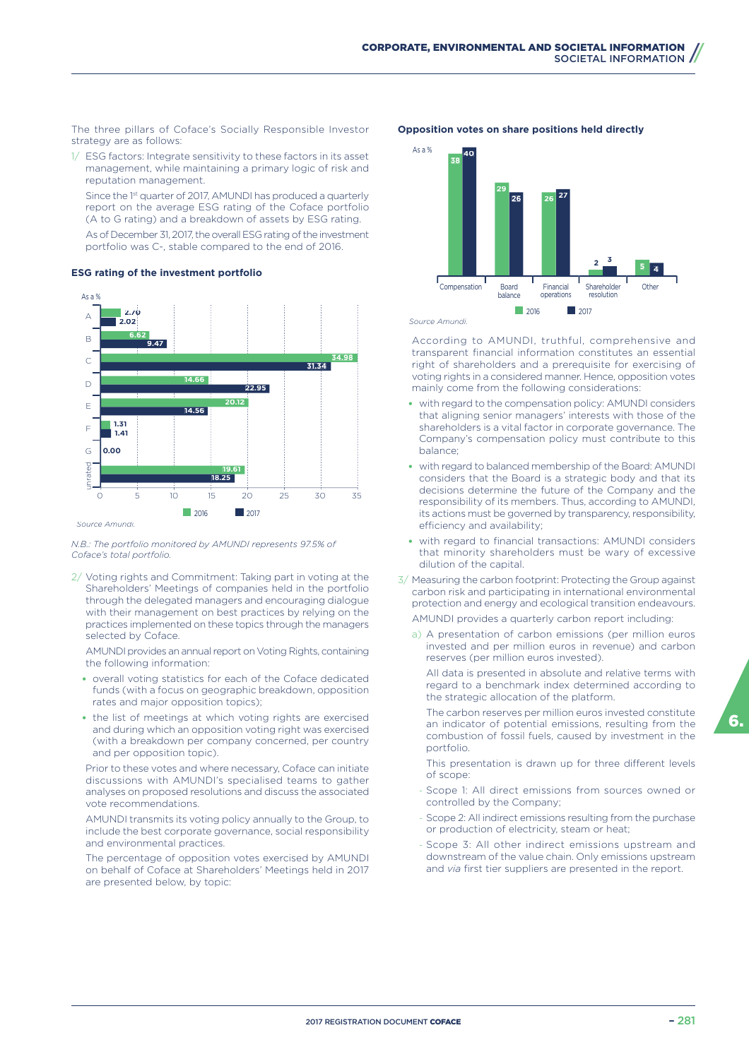The three pillars of Coface's Socially Responsible Investor strategy are as follows:

1/ ESG factors: Integrate sensitivity to these factors in its asset management, while maintaining a primary logic of risk and reputation management.

Since the 1<sup>st</sup> quarter of 2017, AMUNDI has produced a quarterly report on the average ESG rating of the Coface portfolio (A to G rating) and a breakdown of assets by ESG rating.

As of December 31, 2017, the overall ESG rating of the investment portfolio was C-, stable compared to the end of 2016.

#### **ESG rating of the investment portfolio**



#### *N.B.: The portfolio monitored by AMUNDI represents 97.5% of Coface's total portfolio.*

2/ Voting rights and Commitment: Taking part in voting at the Shareholders' Meetings of companies held in the portfolio through the delegated managers and encouraging dialogue with their management on best practices by relying on the practices implemented on these topics through the managers selected by Coface.

AMUNDI provides an annual report on Voting Rights, containing the following information:

- overall voting statistics for each of the Coface dedicated funds (with a focus on geographic breakdown, opposition rates and major opposition topics);
- the list of meetings at which voting rights are exercised and during which an opposition voting right was exercised (with a breakdown per company concerned, per country and per opposition topic).

Prior to these votes and where necessary, Coface can initiate discussions with AMUNDI's specialised teams to gather analyses on proposed resolutions and discuss the associated vote recommendations.

AMUNDI transmits its voting policy annually to the Group, to include the best corporate governance, social responsibility and environmental practices.

The percentage of opposition votes exercised by AMUNDI on behalf of Coface at Shareholders' Meetings held in 2017 are presented below, by topic:

#### **Opposition votes on share positions held directly**



According to AMUNDI, truthful, comprehensive and transparent financial information constitutes an essential right of shareholders and a prerequisite for exercising of voting rights in a considered manner. Hence, opposition votes mainly come from the following considerations:

- with regard to the compensation policy: AMUNDI considers that aligning senior managers' interests with those of the shareholders is a vital factor in corporate governance. The Company's compensation policy must contribute to this balance;
- with regard to balanced membership of the Board: AMUNDI considers that the Board is a strategic body and that its decisions determine the future of the Company and the responsibility of its members. Thus, according to AMUNDI, its actions must be governed by transparency, responsibility, efficiency and availability;
- with regard to financial transactions: AMUNDI considers that minority shareholders must be wary of excessive dilution of the capital.
- 3/ Measuring the carbon footprint: Protecting the Group against carbon risk and participating in international environmental protection and energy and ecological transition endeavours. AMUNDI provides a quarterly carbon report including:
	-
	- a) A presentation of carbon emissions (per million euros invested and per million euros in revenue) and carbon reserves (per million euros invested).

All data is presented in absolute and relative terms with regard to a benchmark index determined according to the strategic allocation of the platform.

The carbon reserves per million euros invested constitute an indicator of potential emissions, resulting from the combustion of fossil fuels, caused by investment in the portfolio.

This presentation is drawn up for three different levels of scope:

- Scope 1: All direct emissions from sources owned or controlled by the Company;
- Scope 2: All indirect emissions resulting from the purchase or production of electricity, steam or heat;
- Scope 3: All other indirect emissions upstream and downstream of the value chain. Only emissions upstream and *via* first tier suppliers are presented in the report.

6.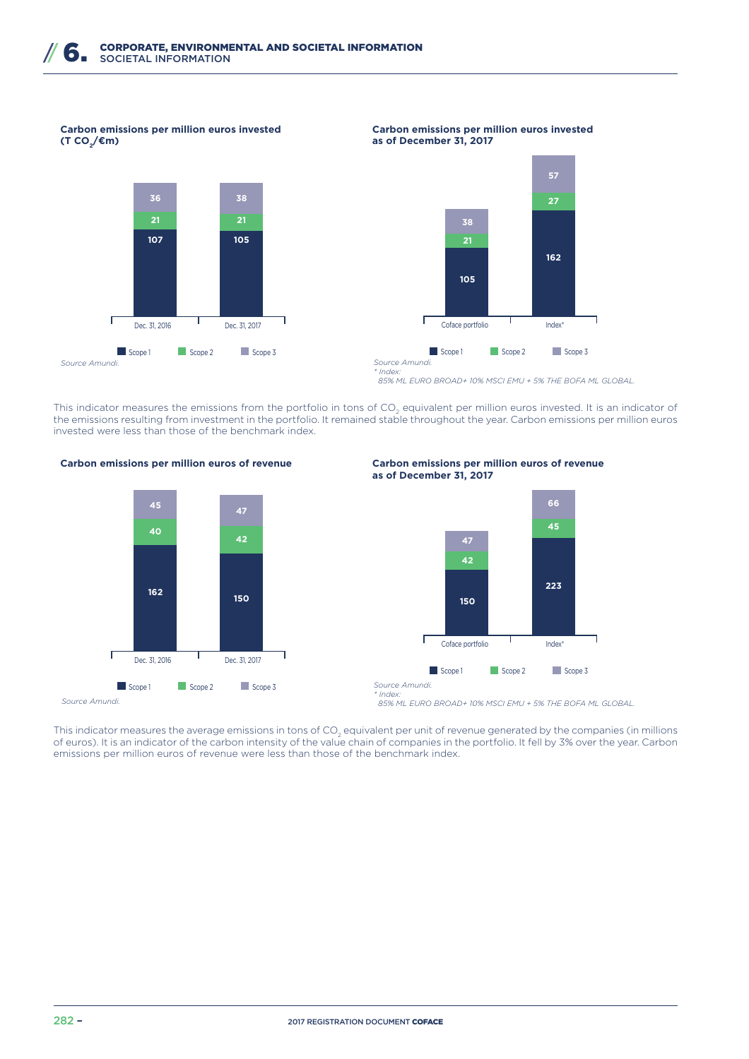**Carbon emissions per million euros invested (T CO<sup>2</sup> /€m)**



#### **Carbon emissions per million euros invested as of December 31, 2017**



 *85% ML EURO BROAD+ 10% MSCI EMU + 5% THE BOFA ML GLOBAL.*

This indicator measures the emissions from the portfolio in tons of CO<sub>2</sub> equivalent per million euros invested. It is an indicator of the emissions resulting from investment in the portfolio. It remained stable throughout the year. Carbon emissions per million euros invested were less than those of the benchmark index.







 *85% ML EURO BROAD+ 10% MSCI EMU + 5% THE BOFA ML GLOBAL.*

This indicator measures the average emissions in tons of CO<sub>2</sub> equivalent per unit of revenue generated by the companies (in millions of euros). It is an indicator of the carbon intensity of the value chain of companies in the portfolio. It fell by 3% over the year. Carbon emissions per million euros of revenue were less than those of the benchmark index.

*\* Index:*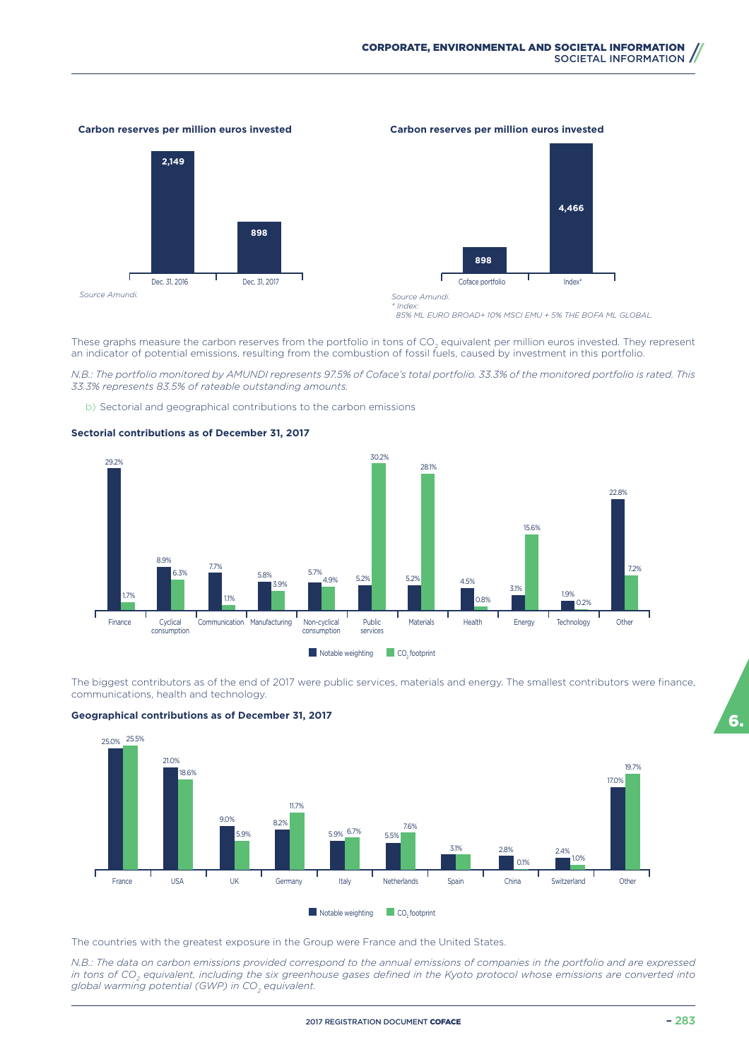#### **Carbon reserves per million euros invested Carbon reserves per million euros invested**





*Source Amundi. \* Index:*

 *85% ML EURO BROAD+ 10% MSCI EMU + 5% THE BOFA ML GLOBAL.*

These graphs measure the carbon reserves from the portfolio in tons of CO<sub>2</sub> equivalent per million euros invested. They represent an indicator of potential emissions, resulting from the combustion of fossil fuels, caused by investment in this portfolio.

*N.B.: The portfolio monitored by AMUNDI represents 97.5% of Coface's total portfolio. 33.3% of the monitored portfolio is rated. This 33.3% represents 83.5% of rateable outstanding amounts.*

b) Sectorial and geographical contributions to the carbon emissions



#### **Sectorial contributions as of December 31, 2017**

The biggest contributors as of the end of 2017 were public services, materials and energy. The smallest contributors were finance, communications, health and technology.



#### **Geographical contributions as of December 31, 2017**

The countries with the greatest exposure in the Group were France and the United States.

*N.B.: The data on carbon emissions provided correspond to the annual emissions of companies in the portfolio and are expressed in tons of CO<sup>2</sup> equivalent, including the six greenhouse gases defined in the Kyoto protocol whose emissions are converted into global warming potential (GWP) in CO<sup>2</sup> equivalent.*

6.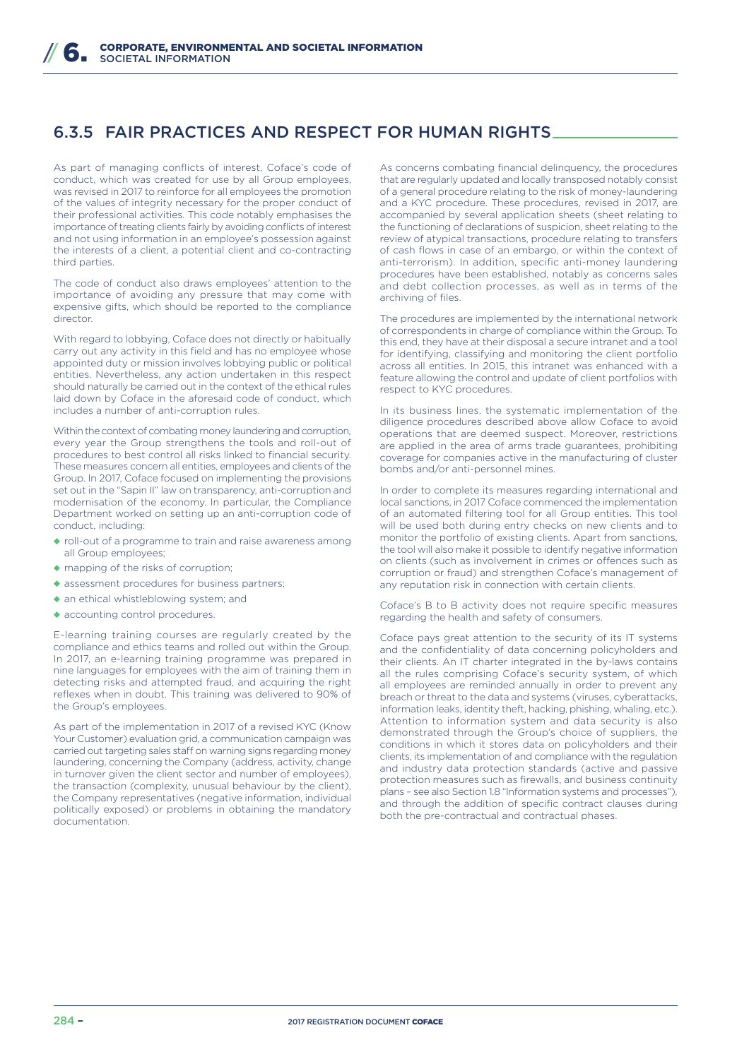# 6.3.5 FAIR PRACTICES AND RESPECT FOR HUMAN RIGHTS

As part of managing conflicts of interest, Coface's code of conduct, which was created for use by all Group employees, was revised in 2017 to reinforce for all employees the promotion of the values of integrity necessary for the proper conduct of their professional activities. This code notably emphasises the importance of treating clients fairly by avoiding conflicts of interest and not using information in an employee's possession against the interests of a client, a potential client and co-contracting third parties.

The code of conduct also draws employees' attention to the importance of avoiding any pressure that may come with expensive gifts, which should be reported to the compliance director.

With regard to lobbying, Coface does not directly or habitually carry out any activity in this field and has no employee whose appointed duty or mission involves lobbying public or political entities. Nevertheless, any action undertaken in this respect should naturally be carried out in the context of the ethical rules laid down by Coface in the aforesaid code of conduct, which includes a number of anti-corruption rules.

Within the context of combating money laundering and corruption, every year the Group strengthens the tools and roll-out of procedures to best control all risks linked to financial security. These measures concern all entities, employees and clients of the Group. In 2017, Coface focused on implementing the provisions set out in the "Sapin II" law on transparency, anti-corruption and modernisation of the economy. In particular, the Compliance Department worked on setting up an anti-corruption code of conduct, including:

- ◆ roll-out of a programme to train and raise awareness among all Group employees;
- ◆ mapping of the risks of corruption:
- ◆ assessment procedures for business partners;
- ◆ an ethical whistleblowing system; and
- ◆ accounting control procedures.

E-learning training courses are regularly created by the compliance and ethics teams and rolled out within the Group. In 2017, an e-learning training programme was prepared in nine languages for employees with the aim of training them in detecting risks and attempted fraud, and acquiring the right reflexes when in doubt. This training was delivered to 90% of the Group's employees.

As part of the implementation in 2017 of a revised KYC (Know Your Customer) evaluation grid, a communication campaign was carried out targeting sales staff on warning signs regarding money laundering, concerning the Company (address, activity, change in turnover given the client sector and number of employees), the transaction (complexity, unusual behaviour by the client), the Company representatives (negative information, individual politically exposed) or problems in obtaining the mandatory documentation.

As concerns combating financial delinquency, the procedures that are regularly updated and locally transposed notably consist of a general procedure relating to the risk of money-laundering and a KYC procedure. These procedures, revised in 2017, are accompanied by several application sheets (sheet relating to the functioning of declarations of suspicion, sheet relating to the review of atypical transactions, procedure relating to transfers of cash flows in case of an embargo, or within the context of anti-terrorism). In addition, specific anti-money laundering procedures have been established, notably as concerns sales and debt collection processes, as well as in terms of the archiving of files.

The procedures are implemented by the international network of correspondents in charge of compliance within the Group. To this end, they have at their disposal a secure intranet and a tool for identifying, classifying and monitoring the client portfolio across all entities. In 2015, this intranet was enhanced with a feature allowing the control and update of client portfolios with respect to KYC procedures.

In its business lines, the systematic implementation of the diligence procedures described above allow Coface to avoid operations that are deemed suspect. Moreover, restrictions are applied in the area of arms trade guarantees, prohibiting coverage for companies active in the manufacturing of cluster bombs and/or anti-personnel mines.

In order to complete its measures regarding international and local sanctions, in 2017 Coface commenced the implementation of an automated filtering tool for all Group entities. This tool will be used both during entry checks on new clients and to monitor the portfolio of existing clients. Apart from sanctions, the tool will also make it possible to identify negative information on clients (such as involvement in crimes or offences such as corruption or fraud) and strengthen Coface's management of any reputation risk in connection with certain clients.

Coface's B to B activity does not require specific measures regarding the health and safety of consumers.

Coface pays great attention to the security of its IT systems and the confidentiality of data concerning policyholders and their clients. An IT charter integrated in the by-laws contains all the rules comprising Coface's security system, of which all employees are reminded annually in order to prevent any breach or threat to the data and systems (viruses, cyberattacks, information leaks, identity theft, hacking, phishing, whaling, etc.). Attention to information system and data security is also demonstrated through the Group's choice of suppliers, the conditions in which it stores data on policyholders and their clients, its implementation of and compliance with the regulation and industry data protection standards (active and passive protection measures such as firewalls, and business continuity plans – see also Section 1.8 "Information systems and processes"), and through the addition of specific contract clauses during both the pre-contractual and contractual phases.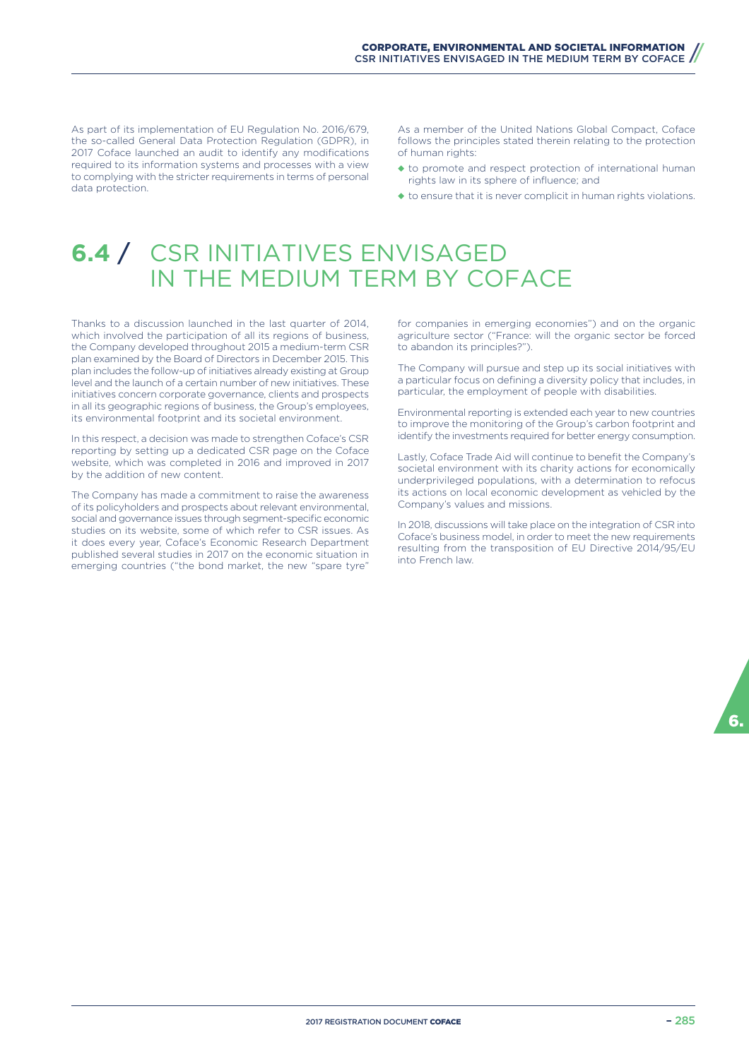As part of its implementation of EU Regulation No. 2016/679, the so-called General Data Protection Regulation (GDPR), in 2017 Coface launched an audit to identify any modifications required to its information systems and processes with a view to complying with the stricter requirements in terms of personal data protection.

As a member of the United Nations Global Compact, Coface follows the principles stated therein relating to the protection of human rights:

- ◆ to promote and respect protection of international human rights law in its sphere of influence; and
- ◆ to ensure that it is never complicit in human rights violations.

# **6.4** / CSR INITIATIVES ENVISAGED IN THE MEDIUM TERM BY COFACE

Thanks to a discussion launched in the last quarter of 2014, which involved the participation of all its regions of business, the Company developed throughout 2015 a medium-term CSR plan examined by the Board of Directors in December 2015. This plan includes the follow-up of initiatives already existing at Group level and the launch of a certain number of new initiatives. These initiatives concern corporate governance, clients and prospects in all its geographic regions of business, the Group's employees, its environmental footprint and its societal environment.

In this respect, a decision was made to strengthen Coface's CSR reporting by setting up a dedicated CSR page on the Coface website, which was completed in 2016 and improved in 2017 by the addition of new content.

The Company has made a commitment to raise the awareness of its policyholders and prospects about relevant environmental, social and governance issues through segment-specific economic studies on its website, some of which refer to CSR issues. As it does every year, Coface's Economic Research Department published several studies in 2017 on the economic situation in emerging countries ("the bond market, the new "spare tyre"

for companies in emerging economies") and on the organic agriculture sector ("France: will the organic sector be forced to abandon its principles?").

The Company will pursue and step up its social initiatives with a particular focus on defining a diversity policy that includes, in particular, the employment of people with disabilities.

Environmental reporting is extended each year to new countries to improve the monitoring of the Group's carbon footprint and identify the investments required for better energy consumption.

Lastly, Coface Trade Aid will continue to benefit the Company's societal environment with its charity actions for economically underprivileged populations, with a determination to refocus its actions on local economic development as vehicled by the Company's values and missions.

In 2018, discussions will take place on the integration of CSR into Coface's business model, in order to meet the new requirements resulting from the transposition of EU Directive 2014/95/EU into French law.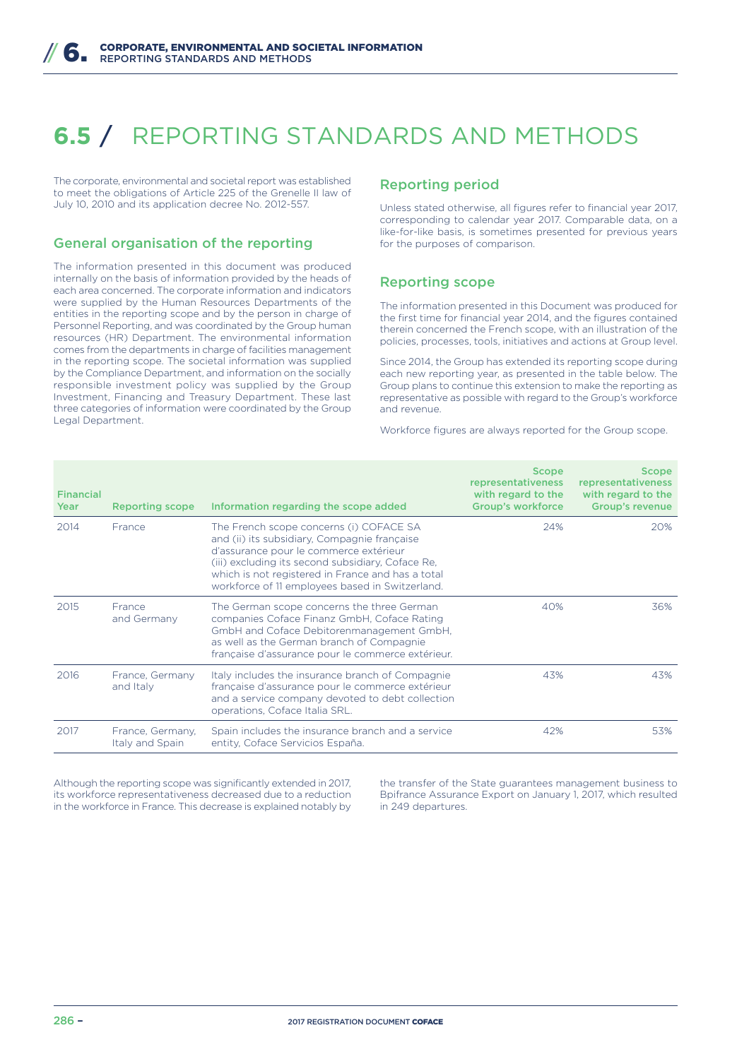# **6.5** / REPORTING STANDARDS AND METHODS

The corporate, environmental and societal report was established to meet the obligations of Article 225 of the Grenelle II law of July 10, 2010 and its application decree No. 2012-557.

# General organisation of the reporting

The information presented in this document was produced internally on the basis of information provided by the heads of each area concerned. The corporate information and indicators were supplied by the Human Resources Departments of the entities in the reporting scope and by the person in charge of Personnel Reporting, and was coordinated by the Group human resources (HR) Department. The environmental information comes from the departments in charge of facilities management in the reporting scope. The societal information was supplied by the Compliance Department, and information on the socially responsible investment policy was supplied by the Group Investment, Financing and Treasury Department. These last three categories of information were coordinated by the Group Legal Department.

## Reporting period

Unless stated otherwise, all figures refer to financial year 2017, corresponding to calendar year 2017. Comparable data, on a like-for-like basis, is sometimes presented for previous years for the purposes of comparison.

## Reporting scope

The information presented in this Document was produced for the first time for financial year 2014, and the figures contained therein concerned the French scope, with an illustration of the policies, processes, tools, initiatives and actions at Group level.

Since 2014, the Group has extended its reporting scope during each new reporting year, as presented in the table below. The Group plans to continue this extension to make the reporting as representative as possible with regard to the Group's workforce and revenue.

Workforce figures are always reported for the Group scope.

| <b>Financial</b><br>Year | <b>Reporting scope</b>              | Information regarding the scope added                                                                                                                                                                                                                                                          | <b>Scope</b><br>representativeness<br>with regard to the<br><b>Group's workforce</b> | <b>Scope</b><br>representativeness<br>with regard to the<br><b>Group's revenue</b> |
|--------------------------|-------------------------------------|------------------------------------------------------------------------------------------------------------------------------------------------------------------------------------------------------------------------------------------------------------------------------------------------|--------------------------------------------------------------------------------------|------------------------------------------------------------------------------------|
| 2014                     | Erance                              | The French scope concerns (i) COFACE SA<br>and (ii) its subsidiary, Compagnie française<br>d'assurance pour le commerce extérieur<br>(iii) excluding its second subsidiary, Coface Re.<br>which is not registered in France and has a total<br>workforce of 11 employees based in Switzerland. | 24%                                                                                  | 20%                                                                                |
| 2015                     | France<br>and Germany               | The German scope concerns the three German<br>companies Coface Finanz GmbH, Coface Rating<br>GmbH and Coface Debitorenmanagement GmbH,<br>as well as the German branch of Compagnie<br>française d'assurance pour le commerce extérieur.                                                       | 40%                                                                                  | 36%                                                                                |
| 2016                     | France, Germany<br>and Italy        | Italy includes the insurance branch of Compagnie<br>française d'assurance pour le commerce extérieur<br>and a service company devoted to debt collection<br>operations, Coface Italia SRL.                                                                                                     | 43%                                                                                  | 43%                                                                                |
| 2017                     | France, Germany,<br>Italy and Spain | Spain includes the insurance branch and a service<br>entity, Coface Servicios España.                                                                                                                                                                                                          | 42%                                                                                  | 53%                                                                                |

Although the reporting scope was significantly extended in 2017, its workforce representativeness decreased due to a reduction in the workforce in France. This decrease is explained notably by

the transfer of the State guarantees management business to Bpifrance Assurance Export on January 1, 2017, which resulted in 249 departures.